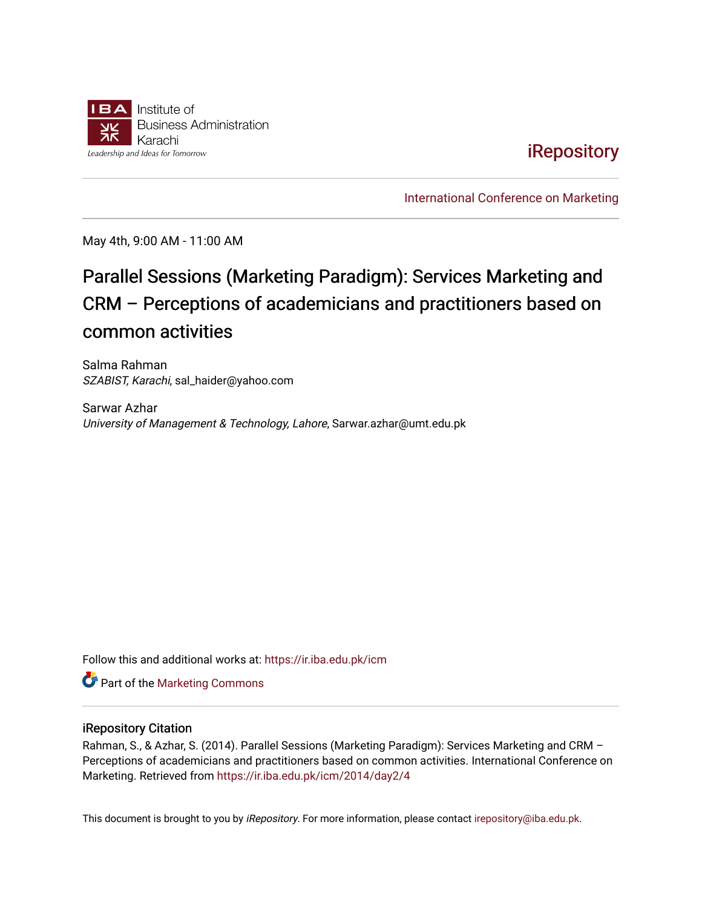

# **iRepository**

[International Conference on Marketing](https://ir.iba.edu.pk/icm) 

May 4th, 9:00 AM - 11:00 AM

# Parallel Sessions (Marketing Paradigm): Services Marketing and CRM – Perceptions of academicians and practitioners based on common activities

Salma Rahman SZABIST, Karachi, sal\_haider@yahoo.com

Sarwar Azhar University of Management & Technology, Lahore, Sarwar.azhar@umt.edu.pk

Follow this and additional works at: [https://ir.iba.edu.pk/icm](https://ir.iba.edu.pk/icm?utm_source=ir.iba.edu.pk%2Ficm%2F2014%2Fday2%2F4&utm_medium=PDF&utm_campaign=PDFCoverPages) 

**Part of the [Marketing Commons](http://network.bepress.com/hgg/discipline/638?utm_source=ir.iba.edu.pk%2Ficm%2F2014%2Fday2%2F4&utm_medium=PDF&utm_campaign=PDFCoverPages)** 

### iRepository Citation

Rahman, S., & Azhar, S. (2014). Parallel Sessions (Marketing Paradigm): Services Marketing and CRM – Perceptions of academicians and practitioners based on common activities. International Conference on Marketing. Retrieved from [https://ir.iba.edu.pk/icm/2014/day2/4](https://ir.iba.edu.pk/icm/2014/day2/4?utm_source=ir.iba.edu.pk%2Ficm%2F2014%2Fday2%2F4&utm_medium=PDF&utm_campaign=PDFCoverPages) 

This document is brought to you by iRepository. For more information, please contact [irepository@iba.edu.pk](mailto:irepository@iba.edu.pk).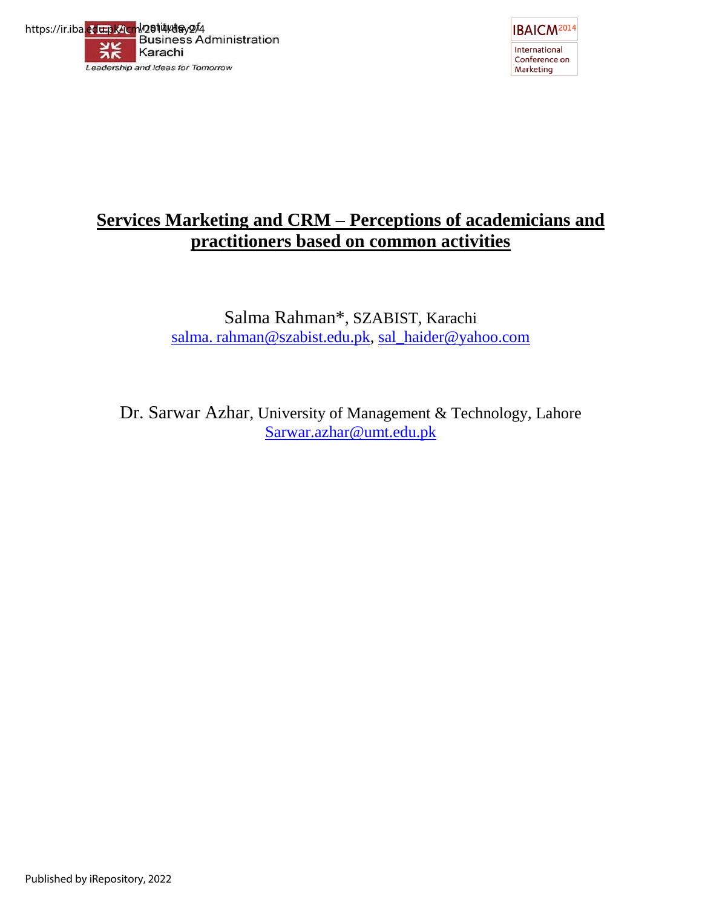



# **Services Marketing and CRM – Perceptions of academicians and practitioners based on common activities**

Salma Rahman\*, SZABIST, Karachi salma. [rahman@szabist.edu.pk,](mailto:rahman@szabist.edu.pk) [sal\\_haider@yahoo.com](mailto:sal_haider@yahoo.com)

Dr. Sarwar Azhar, University of Management & Technology, Lahore [Sarwar.azhar@umt.edu.pk](mailto:Sarwar.azhar@umt.edu.pk)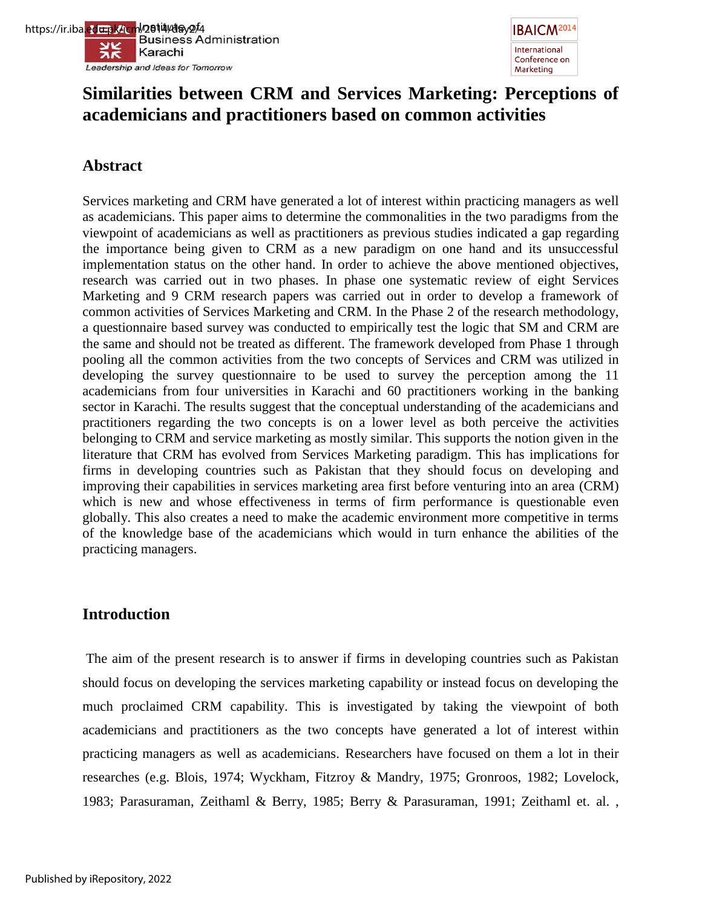



# **Similarities between CRM and Services Marketing: Perceptions of academicians and practitioners based on common activities**

# **Abstract**

Services marketing and CRM have generated a lot of interest within practicing managers as well as academicians. This paper aims to determine the commonalities in the two paradigms from the viewpoint of academicians as well as practitioners as previous studies indicated a gap regarding the importance being given to CRM as a new paradigm on one hand and its unsuccessful implementation status on the other hand. In order to achieve the above mentioned objectives, research was carried out in two phases. In phase one systematic review of eight Services Marketing and 9 CRM research papers was carried out in order to develop a framework of common activities of Services Marketing and CRM. In the Phase 2 of the research methodology, a questionnaire based survey was conducted to empirically test the logic that SM and CRM are the same and should not be treated as different. The framework developed from Phase 1 through pooling all the common activities from the two concepts of Services and CRM was utilized in developing the survey questionnaire to be used to survey the perception among the 11 academicians from four universities in Karachi and 60 practitioners working in the banking sector in Karachi. The results suggest that the conceptual understanding of the academicians and practitioners regarding the two concepts is on a lower level as both perceive the activities belonging to CRM and service marketing as mostly similar. This supports the notion given in the literature that CRM has evolved from Services Marketing paradigm. This has implications for firms in developing countries such as Pakistan that they should focus on developing and improving their capabilities in services marketing area first before venturing into an area (CRM) which is new and whose effectiveness in terms of firm performance is questionable even globally. This also creates a need to make the academic environment more competitive in terms of the knowledge base of the academicians which would in turn enhance the abilities of the practicing managers.

# **Introduction**

The aim of the present research is to answer if firms in developing countries such as Pakistan should focus on developing the services marketing capability or instead focus on developing the much proclaimed CRM capability. This is investigated by taking the viewpoint of both academicians and practitioners as the two concepts have generated a lot of interest within practicing managers as well as academicians. Researchers have focused on them a lot in their researches (e.g. Blois, 1974; Wyckham, Fitzroy & Mandry, 1975; Gronroos, 1982; Lovelock, 1983; Parasuraman, Zeithaml & Berry, 1985; Berry & Parasuraman, 1991; Zeithaml et. al. ,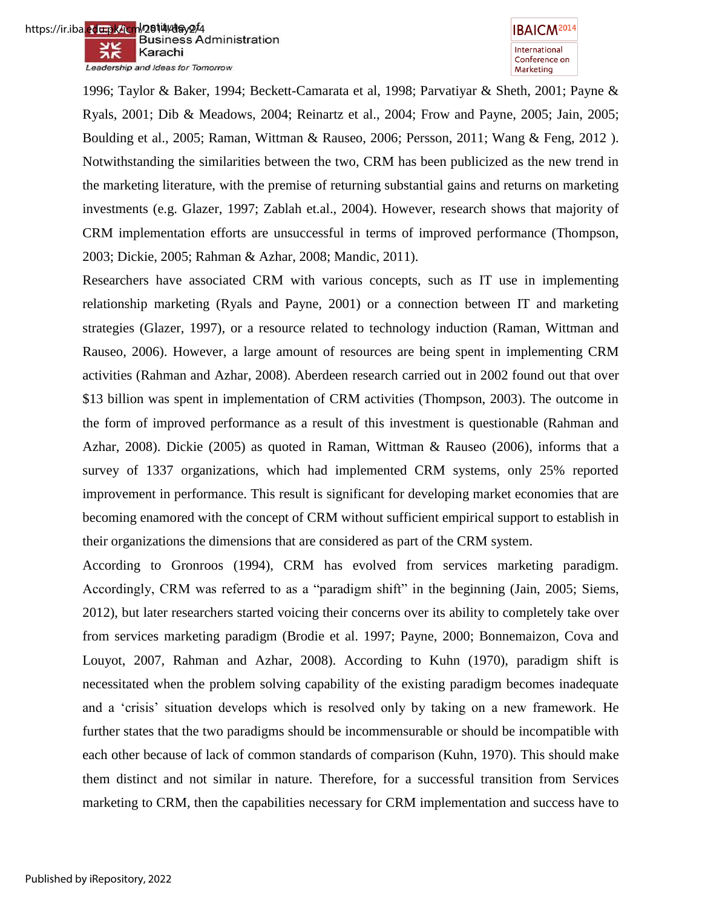https://ir.iba.edu.pk/icm<sup>l</sup>/2614/day2<sup>/</sup>4<br>Business Administration ※ Karachi Leadership and Ideas for Tomorrow



1996; Taylor & Baker, 1994; Beckett-Camarata et al, 1998; Parvatiyar & Sheth, 2001; Payne & Ryals, 2001; Dib & Meadows, 2004; Reinartz et al., 2004; Frow and Payne, 2005; Jain, 2005; Boulding et al., 2005; Raman, Wittman & Rauseo, 2006; Persson, 2011; Wang & Feng, 2012 ). Notwithstanding the similarities between the two, CRM has been publicized as the new trend in the marketing literature, with the premise of returning substantial gains and returns on marketing investments (e.g. Glazer, 1997; Zablah et.al., 2004). However, research shows that majority of CRM implementation efforts are unsuccessful in terms of improved performance (Thompson, 2003; Dickie, 2005; Rahman & Azhar, 2008; Mandic, 2011).

Researchers have associated CRM with various concepts, such as IT use in implementing relationship marketing (Ryals and Payne, 2001) or a connection between IT and marketing strategies (Glazer, 1997), or a resource related to technology induction (Raman, Wittman and Rauseo, 2006). However, a large amount of resources are being spent in implementing CRM activities (Rahman and Azhar, 2008). Aberdeen research carried out in 2002 found out that over \$13 billion was spent in implementation of CRM activities (Thompson, 2003). The outcome in the form of improved performance as a result of this investment is questionable (Rahman and Azhar, 2008). Dickie (2005) as quoted in Raman, Wittman & Rauseo (2006), informs that a survey of 1337 organizations, which had implemented CRM systems, only 25% reported improvement in performance. This result is significant for developing market economies that are becoming enamored with the concept of CRM without sufficient empirical support to establish in their organizations the dimensions that are considered as part of the CRM system.

According to Gronroos (1994), CRM has evolved from services marketing paradigm. Accordingly, CRM was referred to as a "paradigm shift" in the beginning (Jain, 2005; Siems, 2012), but later researchers started voicing their concerns over its ability to completely take over from services marketing paradigm (Brodie et al. 1997; Payne, 2000; Bonnemaizon, Cova and Louyot, 2007, Rahman and Azhar, 2008). According to Kuhn (1970), paradigm shift is necessitated when the problem solving capability of the existing paradigm becomes inadequate and a "crisis" situation develops which is resolved only by taking on a new framework. He further states that the two paradigms should be incommensurable or should be incompatible with each other because of lack of common standards of comparison (Kuhn, 1970). This should make them distinct and not similar in nature. Therefore, for a successful transition from Services marketing to CRM, then the capabilities necessary for CRM implementation and success have to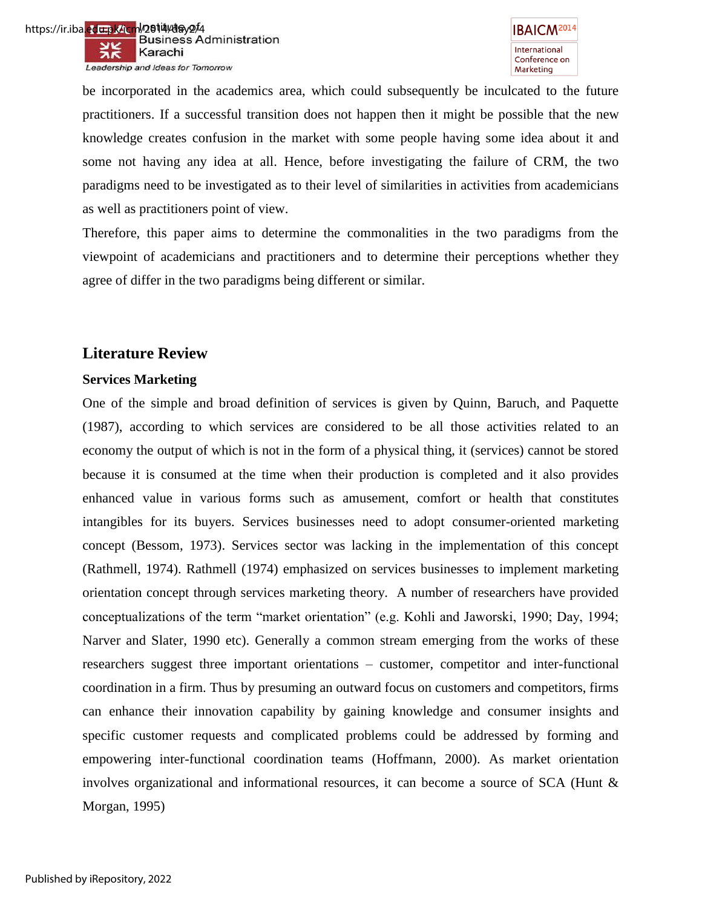be incorporated in the academics area, which could subsequently be inculcated to the future practitioners. If a successful transition does not happen then it might be possible that the new knowledge creates confusion in the market with some people having some idea about it and some not having any idea at all. Hence, before investigating the failure of CRM, the two paradigms need to be investigated as to their level of similarities in activities from academicians as well as practitioners point of view.

Therefore, this paper aims to determine the commonalities in the two paradigms from the viewpoint of academicians and practitioners and to determine their perceptions whether they agree of differ in the two paradigms being different or similar.

# **Literature Review**

# **Services Marketing**

One of the simple and broad definition of services is given by Quinn, Baruch, and Paquette (1987), according to which services are considered to be all those activities related to an economy the output of which is not in the form of a physical thing, it (services) cannot be stored because it is consumed at the time when their production is completed and it also provides enhanced value in various forms such as amusement, comfort or health that constitutes intangibles for its buyers. Services businesses need to adopt consumer-oriented marketing concept (Bessom, 1973). Services sector was lacking in the implementation of this concept (Rathmell, 1974). Rathmell (1974) emphasized on services businesses to implement marketing orientation concept through services marketing theory. A number of researchers have provided conceptualizations of the term "market orientation" (e.g. Kohli and Jaworski, 1990; Day, 1994; Narver and Slater, 1990 etc). Generally a common stream emerging from the works of these researchers suggest three important orientations – customer, competitor and inter-functional coordination in a firm. Thus by presuming an outward focus on customers and competitors, firms can enhance their innovation capability by gaining knowledge and consumer insights and specific customer requests and complicated problems could be addressed by forming and empowering inter-functional coordination teams (Hoffmann, 2000). As market orientation involves organizational and informational resources, it can become a source of SCA (Hunt & Morgan, 1995)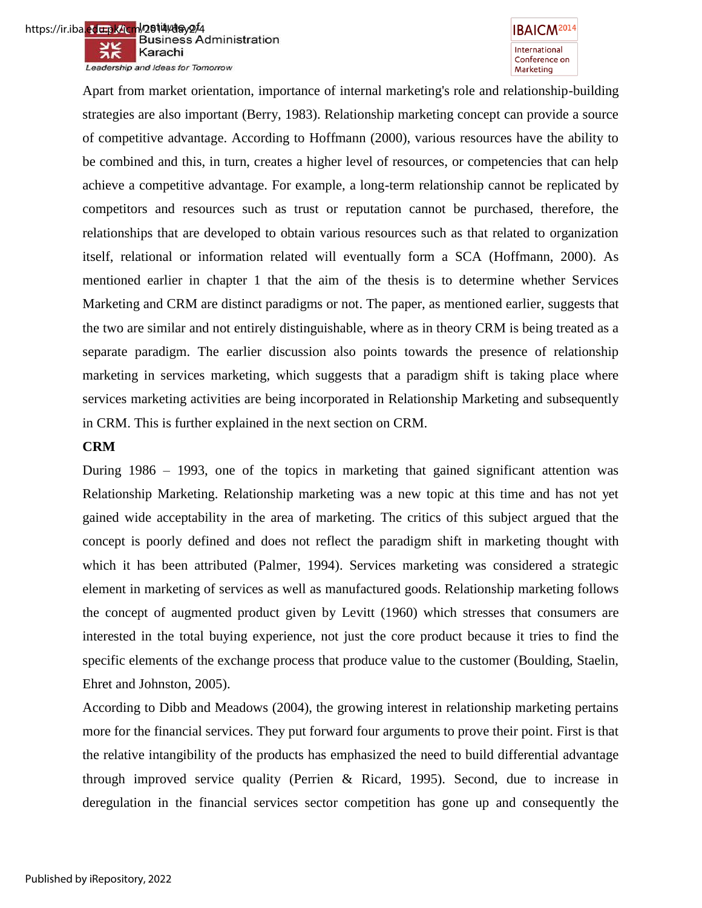



Apart from market orientation, importance of internal marketing's role and relationship-building strategies are also important (Berry, 1983). Relationship marketing concept can provide a source of competitive advantage. According to Hoffmann (2000), various resources have the ability to be combined and this, in turn, creates a higher level of resources, or competencies that can help achieve a competitive advantage. For example, a long-term relationship cannot be replicated by competitors and resources such as trust or reputation cannot be purchased, therefore, the relationships that are developed to obtain various resources such as that related to organization itself, relational or information related will eventually form a SCA (Hoffmann, 2000). As mentioned earlier in chapter 1 that the aim of the thesis is to determine whether Services Marketing and CRM are distinct paradigms or not. The paper, as mentioned earlier, suggests that the two are similar and not entirely distinguishable, where as in theory CRM is being treated as a separate paradigm. The earlier discussion also points towards the presence of relationship marketing in services marketing, which suggests that a paradigm shift is taking place where services marketing activities are being incorporated in Relationship Marketing and subsequently in CRM. This is further explained in the next section on CRM.

### **CRM**

During 1986 – 1993, one of the topics in marketing that gained significant attention was Relationship Marketing. Relationship marketing was a new topic at this time and has not yet gained wide acceptability in the area of marketing. The critics of this subject argued that the concept is poorly defined and does not reflect the paradigm shift in marketing thought with which it has been attributed (Palmer, 1994). Services marketing was considered a strategic element in marketing of services as well as manufactured goods. Relationship marketing follows the concept of augmented product given by Levitt (1960) which stresses that consumers are interested in the total buying experience, not just the core product because it tries to find the specific elements of the exchange process that produce value to the customer (Boulding, Staelin, Ehret and Johnston, 2005).

According to Dibb and Meadows (2004), the growing interest in relationship marketing pertains more for the financial services. They put forward four arguments to prove their point. First is that the relative intangibility of the products has emphasized the need to build differential advantage through improved service quality (Perrien & Ricard, 1995). Second, due to increase in deregulation in the financial services sector competition has gone up and consequently the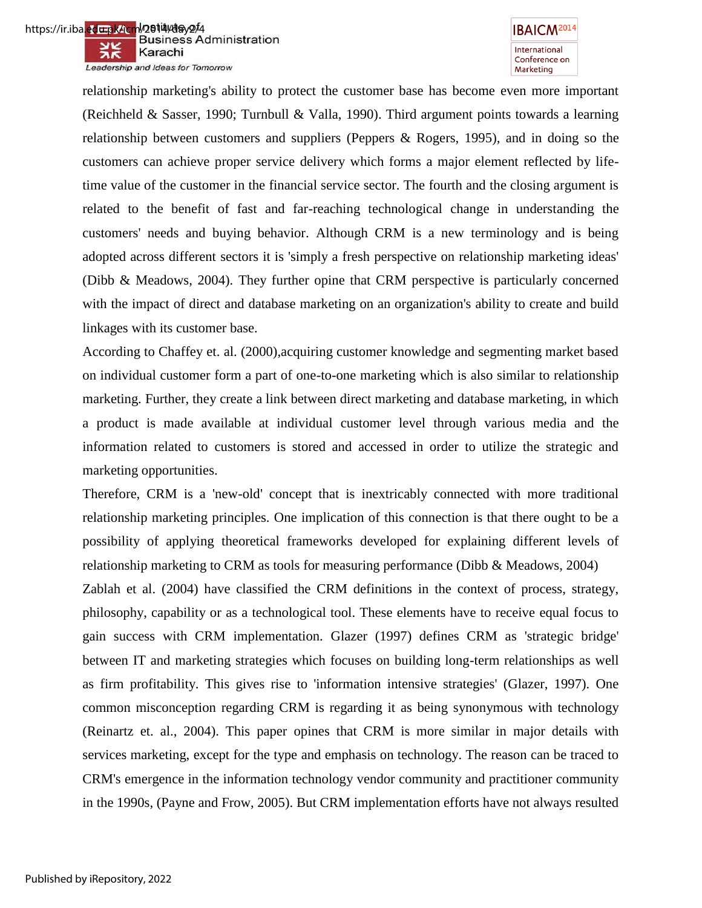



relationship marketing's ability to protect the customer base has become even more important (Reichheld & Sasser, 1990; Turnbull & Valla, 1990). Third argument points towards a learning relationship between customers and suppliers (Peppers & Rogers, 1995), and in doing so the customers can achieve proper service delivery which forms a major element reflected by lifetime value of the customer in the financial service sector. The fourth and the closing argument is related to the benefit of fast and far-reaching technological change in understanding the customers' needs and buying behavior. Although CRM is a new terminology and is being adopted across different sectors it is 'simply a fresh perspective on relationship marketing ideas' (Dibb & Meadows, 2004). They further opine that CRM perspective is particularly concerned with the impact of direct and database marketing on an organization's ability to create and build linkages with its customer base.

According to Chaffey et. al. (2000),acquiring customer knowledge and segmenting market based on individual customer form a part of one-to-one marketing which is also similar to relationship marketing. Further, they create a link between direct marketing and database marketing, in which a product is made available at individual customer level through various media and the information related to customers is stored and accessed in order to utilize the strategic and marketing opportunities.

Therefore, CRM is a 'new-old' concept that is inextricably connected with more traditional relationship marketing principles. One implication of this connection is that there ought to be a possibility of applying theoretical frameworks developed for explaining different levels of relationship marketing to CRM as tools for measuring performance (Dibb & Meadows, 2004) Zablah et al. (2004) have classified the CRM definitions in the context of process, strategy, philosophy, capability or as a technological tool. These elements have to receive equal focus to gain success with CRM implementation. Glazer (1997) defines CRM as 'strategic bridge' between IT and marketing strategies which focuses on building long-term relationships as well as firm profitability. This gives rise to 'information intensive strategies' (Glazer, 1997). One common misconception regarding CRM is regarding it as being synonymous with technology (Reinartz et. al., 2004). This paper opines that CRM is more similar in major details with services marketing, except for the type and emphasis on technology. The reason can be traced to CRM's emergence in the information technology vendor community and practitioner community in the 1990s, (Payne and Frow, 2005). But CRM implementation efforts have not always resulted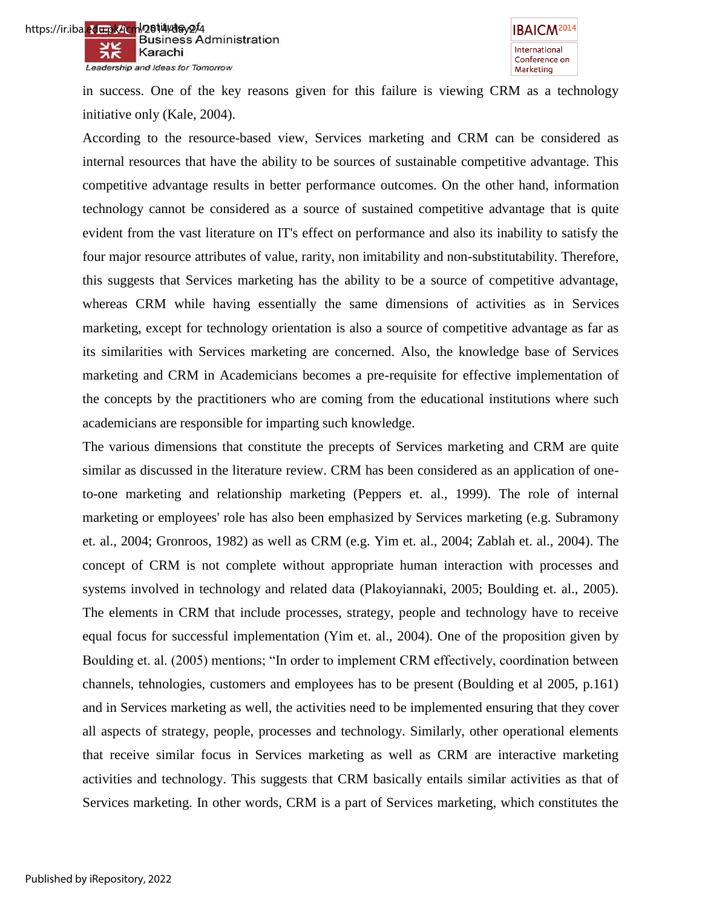



in success. One of the key reasons given for this failure is viewing CRM as a technology initiative only (Kale, 2004).

According to the resource-based view, Services marketing and CRM can be considered as internal resources that have the ability to be sources of sustainable competitive advantage. This competitive advantage results in better performance outcomes. On the other hand, information technology cannot be considered as a source of sustained competitive advantage that is quite evident from the vast literature on IT's effect on performance and also its inability to satisfy the four major resource attributes of value, rarity, non imitability and non-substitutability. Therefore, this suggests that Services marketing has the ability to be a source of competitive advantage, whereas CRM while having essentially the same dimensions of activities as in Services marketing, except for technology orientation is also a source of competitive advantage as far as its similarities with Services marketing are concerned. Also, the knowledge base of Services marketing and CRM in Academicians becomes a pre-requisite for effective implementation of the concepts by the practitioners who are coming from the educational institutions where such academicians are responsible for imparting such knowledge.

The various dimensions that constitute the precepts of Services marketing and CRM are quite similar as discussed in the literature review. CRM has been considered as an application of oneto-one marketing and relationship marketing (Peppers et. al., 1999). The role of internal marketing or employees' role has also been emphasized by Services marketing (e.g. Subramony et. al., 2004; Gronroos, 1982) as well as CRM (e.g. Yim et. al., 2004; Zablah et. al., 2004). The concept of CRM is not complete without appropriate human interaction with processes and systems involved in technology and related data (Plakoyiannaki, 2005; Boulding et. al., 2005). The elements in CRM that include processes, strategy, people and technology have to receive equal focus for successful implementation (Yim et. al., 2004). One of the proposition given by Boulding et. al. (2005) mentions; "In order to implement CRM effectively, coordination between channels, tehnologies, customers and employees has to be present (Boulding et al 2005, p.161) and in Services marketing as well, the activities need to be implemented ensuring that they cover all aspects of strategy, people, processes and technology. Similarly, other operational elements that receive similar focus in Services marketing as well as CRM are interactive marketing activities and technology. This suggests that CRM basically entails similar activities as that of Services marketing. In other words, CRM is a part of Services marketing, which constitutes the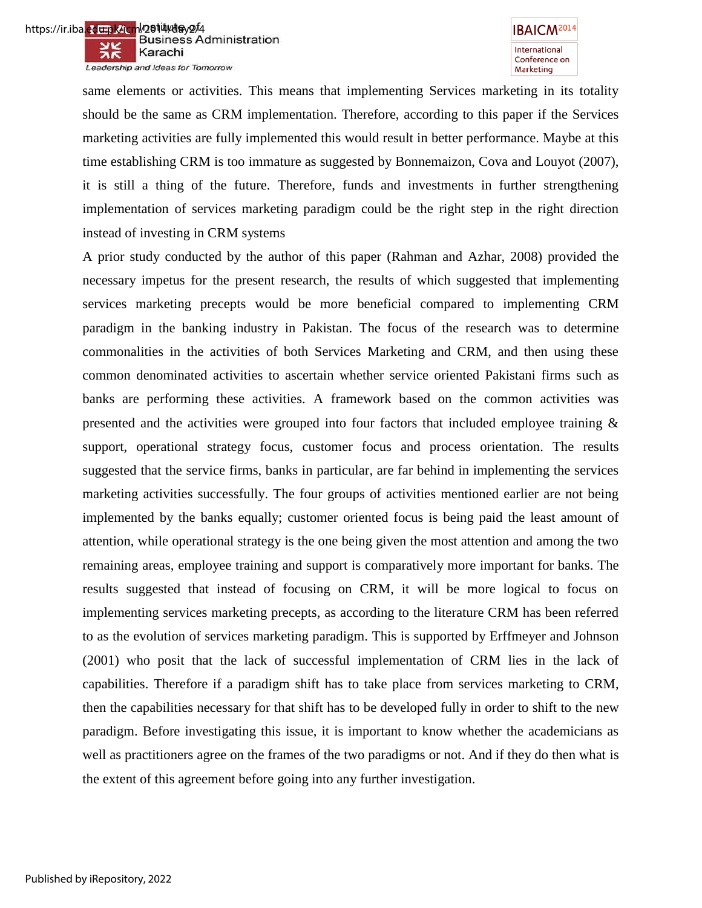



same elements or activities. This means that implementing Services marketing in its totality should be the same as CRM implementation. Therefore, according to this paper if the Services marketing activities are fully implemented this would result in better performance. Maybe at this time establishing CRM is too immature as suggested by Bonnemaizon, Cova and Louyot (2007), it is still a thing of the future. Therefore, funds and investments in further strengthening implementation of services marketing paradigm could be the right step in the right direction instead of investing in CRM systems

A prior study conducted by the author of this paper (Rahman and Azhar, 2008) provided the necessary impetus for the present research, the results of which suggested that implementing services marketing precepts would be more beneficial compared to implementing CRM paradigm in the banking industry in Pakistan. The focus of the research was to determine commonalities in the activities of both Services Marketing and CRM, and then using these common denominated activities to ascertain whether service oriented Pakistani firms such as banks are performing these activities. A framework based on the common activities was presented and the activities were grouped into four factors that included employee training  $\&$ support, operational strategy focus, customer focus and process orientation. The results suggested that the service firms, banks in particular, are far behind in implementing the services marketing activities successfully. The four groups of activities mentioned earlier are not being implemented by the banks equally; customer oriented focus is being paid the least amount of attention, while operational strategy is the one being given the most attention and among the two remaining areas, employee training and support is comparatively more important for banks. The results suggested that instead of focusing on CRM, it will be more logical to focus on implementing services marketing precepts, as according to the literature CRM has been referred to as the evolution of services marketing paradigm. This is supported by Erffmeyer and Johnson (2001) who posit that the lack of successful implementation of CRM lies in the lack of capabilities. Therefore if a paradigm shift has to take place from services marketing to CRM, then the capabilities necessary for that shift has to be developed fully in order to shift to the new paradigm. Before investigating this issue, it is important to know whether the academicians as well as practitioners agree on the frames of the two paradigms or not. And if they do then what is the extent of this agreement before going into any further investigation.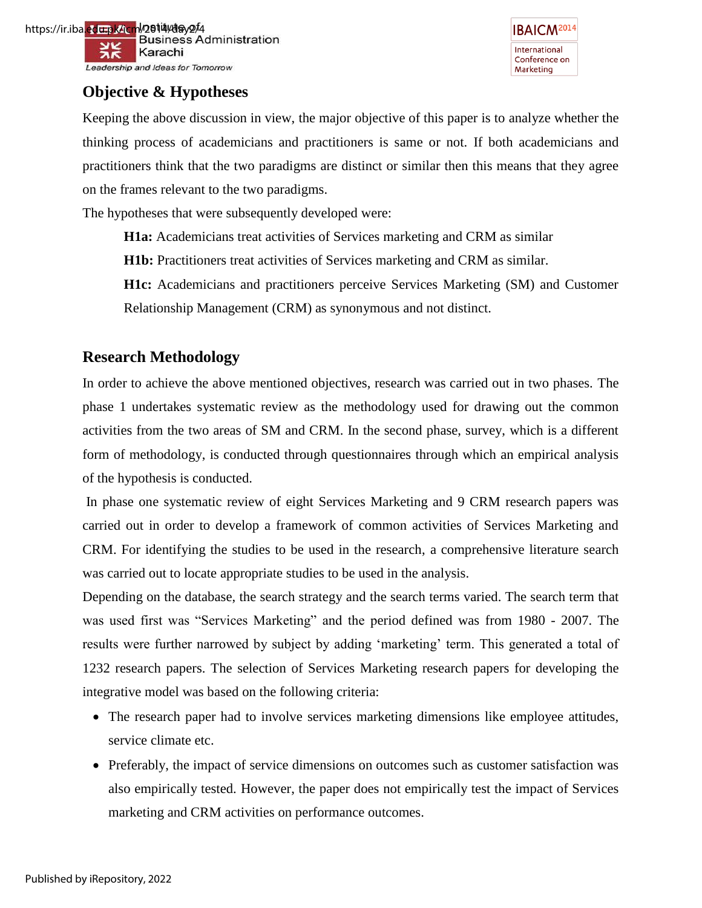



# **Objective & Hypotheses**

Keeping the above discussion in view, the major objective of this paper is to analyze whether the thinking process of academicians and practitioners is same or not. If both academicians and practitioners think that the two paradigms are distinct or similar then this means that they agree on the frames relevant to the two paradigms.

The hypotheses that were subsequently developed were:

**H1a:** Academicians treat activities of Services marketing and CRM as similar

**H1b:** Practitioners treat activities of Services marketing and CRM as similar.

**H1c:** Academicians and practitioners perceive Services Marketing (SM) and Customer Relationship Management (CRM) as synonymous and not distinct.

# **Research Methodology**

In order to achieve the above mentioned objectives, research was carried out in two phases. The phase 1 undertakes systematic review as the methodology used for drawing out the common activities from the two areas of SM and CRM. In the second phase, survey, which is a different form of methodology, is conducted through questionnaires through which an empirical analysis of the hypothesis is conducted.

 In phase one systematic review of eight Services Marketing and 9 CRM research papers was carried out in order to develop a framework of common activities of Services Marketing and CRM. For identifying the studies to be used in the research, a comprehensive literature search was carried out to locate appropriate studies to be used in the analysis.

Depending on the database, the search strategy and the search terms varied. The search term that was used first was "Services Marketing" and the period defined was from 1980 - 2007. The results were further narrowed by subject by adding "marketing" term. This generated a total of 1232 research papers. The selection of Services Marketing research papers for developing the integrative model was based on the following criteria:

- The research paper had to involve services marketing dimensions like employee attitudes, service climate etc.
- Preferably, the impact of service dimensions on outcomes such as customer satisfaction was also empirically tested. However, the paper does not empirically test the impact of Services marketing and CRM activities on performance outcomes.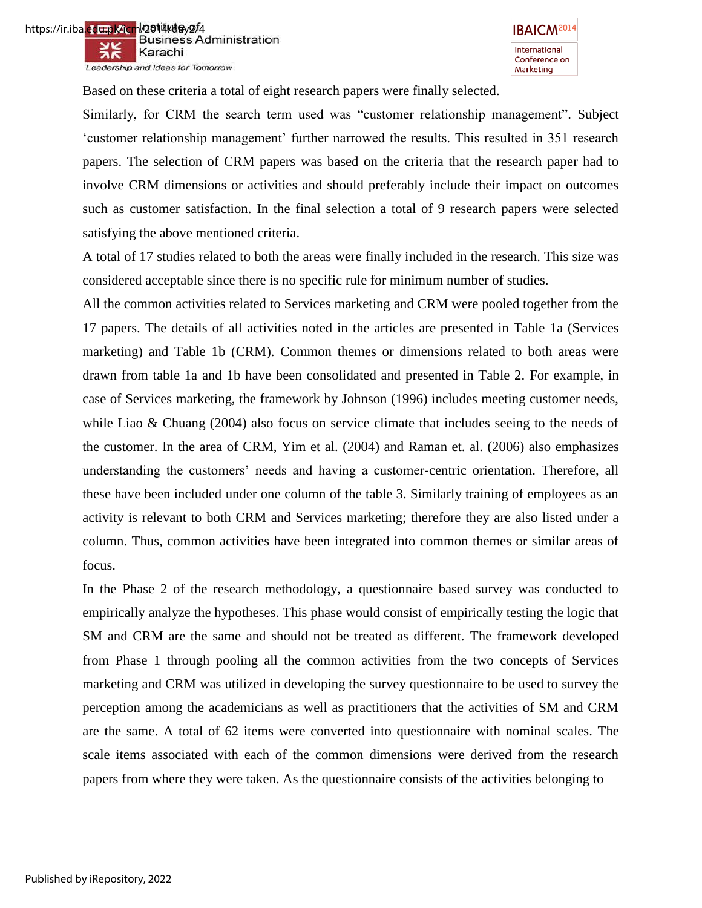



Based on these criteria a total of eight research papers were finally selected.

Similarly, for CRM the search term used was "customer relationship management". Subject 'customer relationship management' further narrowed the results. This resulted in 351 research papers. The selection of CRM papers was based on the criteria that the research paper had to involve CRM dimensions or activities and should preferably include their impact on outcomes such as customer satisfaction. In the final selection a total of 9 research papers were selected satisfying the above mentioned criteria.

A total of 17 studies related to both the areas were finally included in the research. This size was considered acceptable since there is no specific rule for minimum number of studies.

All the common activities related to Services marketing and CRM were pooled together from the 17 papers. The details of all activities noted in the articles are presented in Table 1a (Services marketing) and Table 1b (CRM). Common themes or dimensions related to both areas were drawn from table 1a and 1b have been consolidated and presented in Table 2. For example, in case of Services marketing, the framework by Johnson (1996) includes meeting customer needs, while Liao & Chuang (2004) also focus on service climate that includes seeing to the needs of the customer. In the area of CRM, Yim et al. (2004) and Raman et. al. (2006) also emphasizes understanding the customers' needs and having a customer-centric orientation. Therefore, all these have been included under one column of the table 3. Similarly training of employees as an activity is relevant to both CRM and Services marketing; therefore they are also listed under a column. Thus, common activities have been integrated into common themes or similar areas of focus.

In the Phase 2 of the research methodology, a questionnaire based survey was conducted to empirically analyze the hypotheses. This phase would consist of empirically testing the logic that SM and CRM are the same and should not be treated as different. The framework developed from Phase 1 through pooling all the common activities from the two concepts of Services marketing and CRM was utilized in developing the survey questionnaire to be used to survey the perception among the academicians as well as practitioners that the activities of SM and CRM are the same. A total of 62 items were converted into questionnaire with nominal scales. The scale items associated with each of the common dimensions were derived from the research papers from where they were taken. As the questionnaire consists of the activities belonging to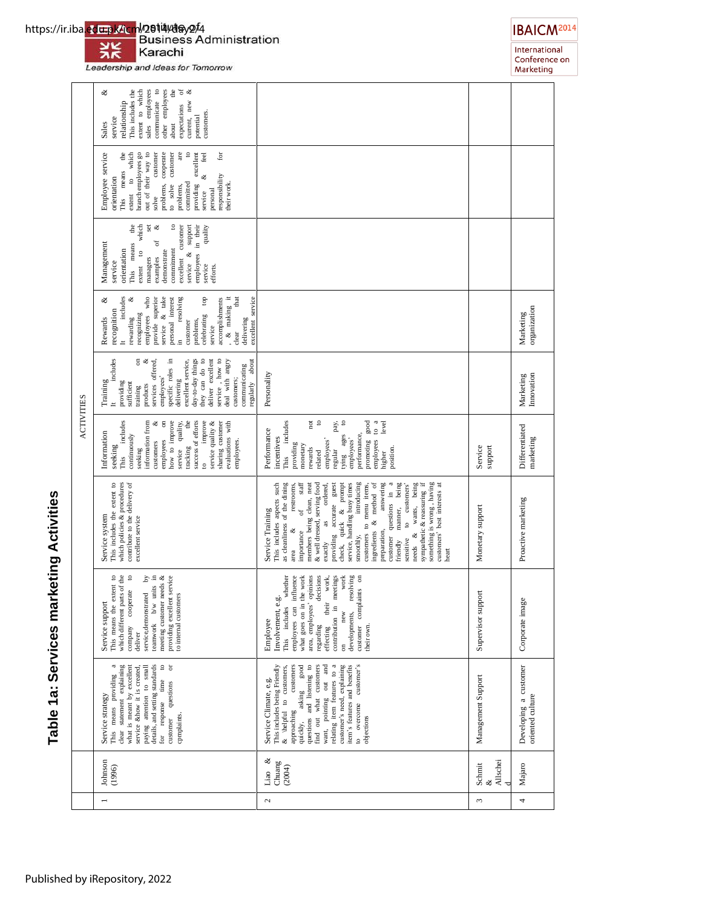# ACTIVITIES Table 1a: Services marketing Activities **Table 1a: Services marketing Activities**

|                   | other employees<br>expectations of<br>current, new &<br>sales employees<br>communicate to<br>the<br>శ<br>This includes the<br>extent to which<br>relationship<br>expectations<br>customers.<br>potential<br>service<br>Sales<br>about                                                                                                                    |                                                                                                                                                                                                                                                                                                                                                                                                                                                                                                                                                                                                                                                                       |                         |                                           |
|-------------------|----------------------------------------------------------------------------------------------------------------------------------------------------------------------------------------------------------------------------------------------------------------------------------------------------------------------------------------------------------|-----------------------------------------------------------------------------------------------------------------------------------------------------------------------------------------------------------------------------------------------------------------------------------------------------------------------------------------------------------------------------------------------------------------------------------------------------------------------------------------------------------------------------------------------------------------------------------------------------------------------------------------------------------------------|-------------------------|-------------------------------------------|
|                   | Employee service<br>branch employees go<br>out of their way to<br>problems, cooperate<br>are<br>for<br>$\mathbf{the}$<br>to which<br>customer<br>customer<br>$\circ$<br>excellent<br>feel<br>This means<br>శ<br>responsibility<br>orientation<br>providing<br>committed<br>to solve<br>heir work.<br>problems,<br>personal<br>extent<br>service<br>solve |                                                                                                                                                                                                                                                                                                                                                                                                                                                                                                                                                                                                                                                                       |                         |                                           |
|                   | employees in their<br>set<br>customer<br>support<br>the<br>which<br>ళ<br>$\circ$<br>quality<br>ð<br>Management<br>means<br>commitment<br>orientation<br>$\epsilon$<br>demonstrate<br>service &<br>excellent<br>managers<br>examples<br>service<br>extent<br>service<br>efforts.<br>This                                                                  |                                                                                                                                                                                                                                                                                                                                                                                                                                                                                                                                                                                                                                                                       |                         |                                           |
|                   | provide superior<br>that<br>includes<br>employees who<br>& take<br>personal interest<br>resolving<br>& making it<br>ಳ<br>go<br>excellent service<br>ళ<br>accomplishments<br>recognition<br>recognizing<br>celebrating<br>rewarding<br>Rewards<br>delivering<br>problems,<br>customer<br>service<br>service<br>clear<br>.≘                                |                                                                                                                                                                                                                                                                                                                                                                                                                                                                                                                                                                                                                                                                       |                         | organization<br>Marketing                 |
|                   | includes<br>ళ<br>services offered,<br>specific roles in<br>service, how to<br>5<br>day-to-day things<br>they can do to<br>deliver excellent<br>deal with angry<br>regularly about<br>excellent service,<br>communicating<br>employees'<br>customers;<br>delivering<br>Training<br>providing<br>sufficient<br>products<br>training                        | Personality                                                                                                                                                                                                                                                                                                                                                                                                                                                                                                                                                                                                                                                           |                         | Innovation<br>Marketing                   |
| <b>ACTIVITIES</b> | includes<br>how to improve<br>success of efforts<br>improve<br>evaluations with<br>information from<br>$\overline{5}$<br>dhe<br>service quality &<br>ಳ<br>service quality,<br>sharing customer<br>Information<br>continuously<br>employees<br>employees.<br>customers<br>seeking<br>tracking<br>seeking<br>This<br>$\mathbf{S}$                          | $\operatorname{\sf not}$<br>$\mathtt{S}$<br>$\frac{a}{b}$<br>level<br>pay,<br>$\boldsymbol{\mathsf{s}}$<br>includes<br>promoting good<br>Performance<br>performance,<br>tying ages<br>incentives<br>employees'<br>employees'<br>employees<br>providing<br>monetary<br>position.<br>rewards<br>regular<br>related<br>higher<br>This                                                                                                                                                                                                                                                                                                                                    | Service<br>support      | Differentiated<br>marketing               |
|                   | This includes the extent to<br>contribute to the delivery of<br>which policies & procedures<br>Service system<br>excellent service                                                                                                                                                                                                                       | sympathetic & reassuring if<br>something is wrong, having<br>check, quick & prompt<br>service, handling busy times<br>introducing<br>answering<br>customer questions in a<br>being<br>being<br>as cleanliness of the dining<br>staff<br>members being clean, neat<br>& well dressed, serving food<br>customers' best interests at<br>This includes aspects such<br>restrooms,<br>exactly as ordered,<br>providing accurate guest<br>customers to menu items,<br>ingredients & method of<br>to customers'<br>wants,<br>manner,<br>$\sigma$<br>Service Training<br>preparation,<br>ಳ<br>importance<br>¥<br>smoothly,<br>sensitive<br>friendly<br>needs<br>heart<br>area | Monetary support        | Proactive marketing                       |
|                   | extent to<br>which different parts of the<br>$\ddot{\circ}$<br>ated by<br>units in<br>providing excellent service<br>to internal customers<br>r needs $\&$<br>company cooperate<br>service, demonstrated<br>Service support<br>This means the<br>teamwork b/w<br>meeting customer<br>deliver                                                             | influence<br>opinions<br>decisions<br>work<br>resolving<br>the work<br>meetings<br>customer complaints on<br>whether<br>work,<br>بة<br>Involvement, e<br>what goes on in t<br>area, employees'<br>their<br>This includes<br>contribution in<br>employees can<br>new<br>developments,<br>Employee<br>regarding<br>their own.<br>effecting<br>$\overline{5}$                                                                                                                                                                                                                                                                                                            | Supervisor support      | Corporate image                           |
|                   | $\circ$ $\circ$<br>This means providing a<br>details, and setting standards<br>clear statement explaining<br>what is meant by excellent<br>paying attention to small<br>service &how it is created<br>time<br>questions<br>Service strategy<br>for response<br>cpmplaints.<br>customer                                                                   | item's features and benefits<br>$\,$ customer's $\,$<br>relating item features to a<br>customer's need, explaining<br>customers<br>quickly, asking good<br>questions and listening to<br>find out what customers<br>out and<br>This includes being Friendly<br>& \helpful to customers,<br>Service Climate, e.g.<br>asking<br>want, pointing<br>overcome<br>approaching<br>objections<br>$\circ$                                                                                                                                                                                                                                                                      | Management Support      | Developing a customer<br>oriented culture |
|                   | Johnson<br>(1996)                                                                                                                                                                                                                                                                                                                                        | $\infty$<br>Chuang<br>(2004)<br>Liao                                                                                                                                                                                                                                                                                                                                                                                                                                                                                                                                                                                                                                  | Allschei<br>Schmit<br>శ | Majaro                                    |
|                   |                                                                                                                                                                                                                                                                                                                                                          | $\mathcal{L}$                                                                                                                                                                                                                                                                                                                                                                                                                                                                                                                                                                                                                                                         | ω                       | 4                                         |



Leadership and Ideas for Tomorrow



International<br>Conference on<br>Marketing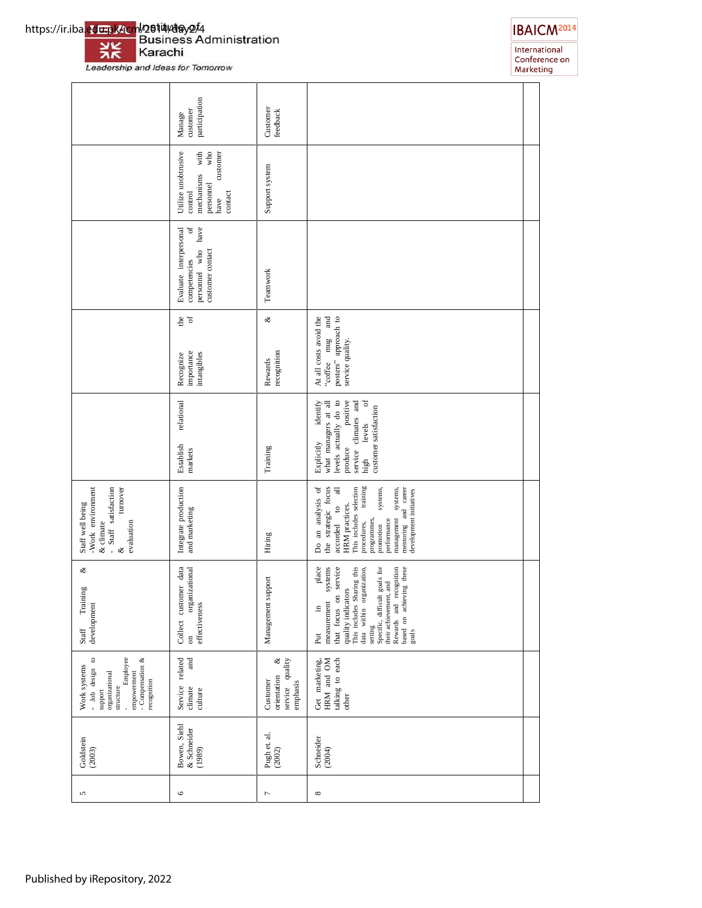https://ir.iba<mark>.ed<del>u.p</del>k/icm</mark>l/2**614/da**y2/4<br>Business Administration 兴 Karachi

Leadership and Ideas for Tomorrow



International<br>Conference on<br>Marketing

|                                                                                                                                                    | participation<br>customer<br>Manage                                                                  | Customer<br>feedback                                        |                                                                                                                                                                                                                                                                                                    |
|----------------------------------------------------------------------------------------------------------------------------------------------------|------------------------------------------------------------------------------------------------------|-------------------------------------------------------------|----------------------------------------------------------------------------------------------------------------------------------------------------------------------------------------------------------------------------------------------------------------------------------------------------|
|                                                                                                                                                    | Utilize unobtrusive<br>mechanisms with<br>who<br>customer<br>personnel<br>contact<br>control<br>have | Support system                                              |                                                                                                                                                                                                                                                                                                    |
|                                                                                                                                                    | $\sigma$ f<br>have<br>Evaluate interpersonal<br>personnel who<br>customer contact<br>competencies    | Teamwork                                                    |                                                                                                                                                                                                                                                                                                    |
|                                                                                                                                                    | $\frac{de}{\sigma}$<br>importance<br>intangibles<br>Recognize                                        | ళ<br>recognition<br>Rewards                                 | "coffee mug and<br>posters" approach to<br>At all costs avoid the<br>service quality.                                                                                                                                                                                                              |
|                                                                                                                                                    | relational<br>Establish<br>markets                                                                   | Training                                                    | $\sigma$<br>positive<br>levels actually do to<br>service climates and<br>identify<br>what managers at all<br>customer satisfaction<br>levels<br>Explicitly<br>produce<br>high                                                                                                                      |
| - Staff satisfaction<br>Staff well being<br>-Work environment<br>turnover<br>evaluation<br>& climate<br>s,                                         | Integrate production<br>and marketing                                                                | Hiring                                                      | the strategic focus<br>Do an analysis of<br>This includes selection<br>training<br>mentoring and career<br>accorded to all<br>systems,<br>systems,<br>development initiatives<br>HRM practices.<br>management<br>programmes,<br>performance<br>procedures,<br>promotion                            |
| ళ<br>Training<br>development<br>Staff                                                                                                              | Collect customer data<br>organizational<br>effectiveness<br>$\sin$                                   | Management support                                          | service<br>place<br>systems<br>This includes Sharing this<br>goals for<br>Rewards and recognition<br>based on achieving these<br>data within organization,<br>their achievement, and<br>quality indicators<br>that focus on<br>setting<br>Specific, difficult<br>measurement<br>щ.<br>goals<br>Put |
| Employee<br>- Compensation $\&$<br>$\circ$<br>Work systems<br>- Job design<br>empowerment<br>organizational<br>recognition<br>structure<br>support | related<br>and<br>Service<br>climate<br>culture                                                      | service quality<br>ళ<br>orientation<br>Customer<br>emphasis | talking to each<br>Get marketing,<br>HRM and OM<br>other                                                                                                                                                                                                                                           |
| Goldstein<br>(2003)                                                                                                                                | Bowen, Siehl<br>& Schneider<br>(1989)                                                                | Pugh et. al.<br>(2002)                                      | Schneider<br>(2004)                                                                                                                                                                                                                                                                                |
| 5                                                                                                                                                  | $\circ$                                                                                              | 1                                                           | ${}^{\circ}$                                                                                                                                                                                                                                                                                       |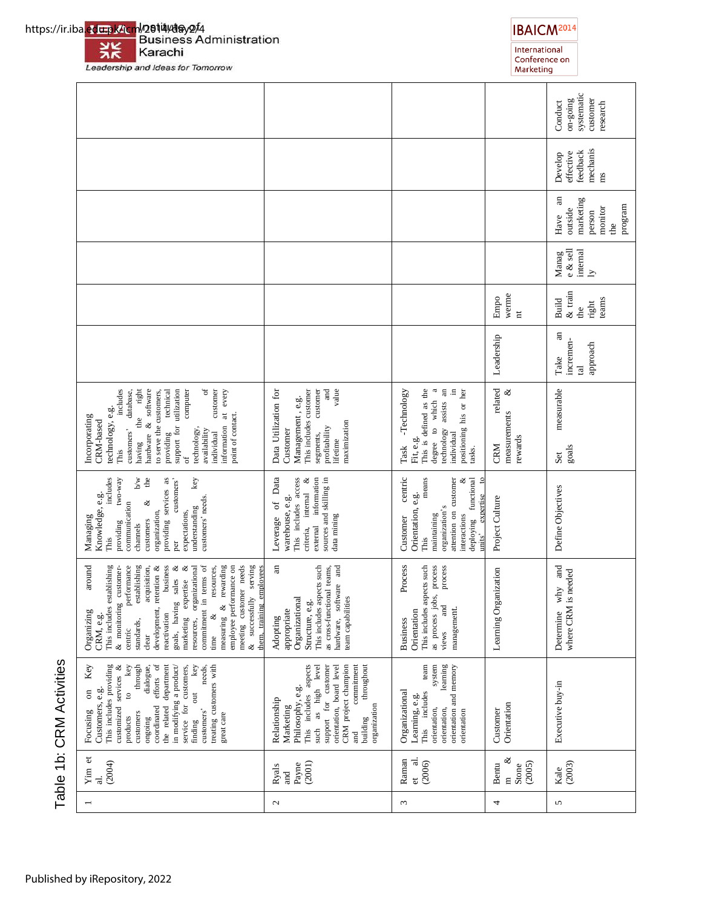Table 1b: CRM Activities Table 1b: CRM Activities

# Leadership and Ideas for Tomorrow

|                                                                                                                                                                                                                                                                                                                                                                                                                                                                                                                                        |                                                                                                                                                                                                                                               |                                                                                                                                                                                                                                   |                                                        | systematic<br>customer<br>gurog-no<br>Conduct<br>research                 |
|----------------------------------------------------------------------------------------------------------------------------------------------------------------------------------------------------------------------------------------------------------------------------------------------------------------------------------------------------------------------------------------------------------------------------------------------------------------------------------------------------------------------------------------|-----------------------------------------------------------------------------------------------------------------------------------------------------------------------------------------------------------------------------------------------|-----------------------------------------------------------------------------------------------------------------------------------------------------------------------------------------------------------------------------------|--------------------------------------------------------|---------------------------------------------------------------------------|
|                                                                                                                                                                                                                                                                                                                                                                                                                                                                                                                                        |                                                                                                                                                                                                                                               |                                                                                                                                                                                                                                   |                                                        | mechanis<br>feedback<br>effective<br>Develop<br>ms                        |
|                                                                                                                                                                                                                                                                                                                                                                                                                                                                                                                                        |                                                                                                                                                                                                                                               |                                                                                                                                                                                                                                   |                                                        | an<br>marketing<br>program<br>monitor<br>outside<br>person<br>Have<br>the |
|                                                                                                                                                                                                                                                                                                                                                                                                                                                                                                                                        |                                                                                                                                                                                                                                               |                                                                                                                                                                                                                                   |                                                        | $e \&$ sell<br>internal<br>Manag<br>$\overline{Y}$                        |
|                                                                                                                                                                                                                                                                                                                                                                                                                                                                                                                                        |                                                                                                                                                                                                                                               |                                                                                                                                                                                                                                   | werme<br>Empo<br>$\overline{\rm n}$                    | & train<br>teams<br><b>Build</b><br>right<br>the                          |
|                                                                                                                                                                                                                                                                                                                                                                                                                                                                                                                                        |                                                                                                                                                                                                                                               |                                                                                                                                                                                                                                   | Leadership                                             | an<br>incremen-<br>approach<br>Take<br>$\overline{a}$                     |
| $\mathfrak{h}$<br>customer<br>right<br>support for utilization<br>includes<br>hardware & software<br>technical<br>computer<br>at every<br>to serve the customers,<br>customers' database,<br>technology, e.g.<br>the<br>point of contact.<br>Incorporating<br>CRM-based<br>information<br>technology,<br>availability<br>individual<br>providing<br>having<br>This<br>ð                                                                                                                                                                | value<br>Data Utilization for<br>This includes customer<br>customer<br>and<br>Management, e.g.<br>maximization<br>profitability<br>Customer<br>segments,<br>lifetime                                                                          | This is defined as the<br>degree to which a<br>technology assists an<br>п.<br>positioning his or her<br>-Technology<br>individual<br>Fit, e.g.<br>Task<br>tasks.                                                                  | related<br>$\propto$<br>measurements<br>rewards<br>CRM | measurable<br>goals<br>Set                                                |
| includes<br>two-way<br>b/w<br>the<br>providing services as<br>key<br>customers<br>Knowledge, e.g.<br>customers' needs.<br>∛<br>communication<br>understanding<br>organization,<br>expectations,<br>Managing<br>customers<br>providing<br>channels<br>This<br>per                                                                                                                                                                                                                                                                       | of Data<br>This includes access<br>information<br>sources and skilling in<br>ಳ<br>internal<br>warehouse, e.g.<br>data mining<br>Leverage<br>criteria,<br>external                                                                             | centric<br>means<br>attention on customer<br>functional<br>$\overline{\mathbf{c}}$<br>∛<br>expertise<br>Orientation, e.g.<br>organization's<br>interactions<br>maintaining<br>Customer<br>deploying<br>units <sup>3</sup><br>This | Project Culture                                        | Define Objectives                                                         |
| business<br>terms of<br>around<br>meeting customer needs<br>serving<br>performance<br>establishing<br>$\propto$<br>resources, organizational<br>rewarding<br>employee performance on<br>This includes establishing<br>acquisition,<br>development, retention &<br>∛<br>esources,<br>them, training employees<br>& monitoring customer-<br>sales<br>marketing expertise<br>& successfully<br>commitment in<br>goals, having<br>measuring $\&$<br>Organizing<br>reactivation<br>∛<br>CRM, e.g.<br>standards,<br>centric<br>clear<br>time | $\overline{a}$<br>This includes aspects such<br>hardware, software and<br>as cross-functional teams,<br>Organizational<br>team capabilities<br>Structure, e.g.<br>appropriate<br>Adopting                                                     | Process<br>This includes aspects such<br>process<br>process<br>as process jobs,<br>and<br>Orientation<br>management.<br><b>Business</b><br>views                                                                                  | Learning Organization                                  | Determine why and<br>where CRM is needed                                  |
| key<br>through<br>key<br>Key<br>This includes providing<br>customized services &<br>efforts of<br>the related department<br>in modifying a product/<br>service for customers,<br>needs,<br>dialogue,<br>treating customers with<br>Customers, e.g.<br>$\circ$<br>$\overline{\mathrm{d}}$<br>$\overline{\mathrm{m}}$<br>coordinated<br>customers'<br>Focusing<br>customers<br>great care<br>products<br>ongoing<br>finding                                                                                                              | aspects<br>support for customer<br>CRM project champion<br>commitment<br>throughout<br>level<br>orientation, board level<br>such as high<br>Philosophy, e.g.<br>This includes<br>Relationship<br>organization<br>Marketing<br>building<br>and | team<br>system<br>learning<br>orientation and memory<br>Organizational<br>This includes<br>Learning, e.g.<br>orientation,<br>orientation,<br>orientation                                                                          | Orientation<br>Customer                                | Executive buy-in                                                          |
| Yim et<br>(2004)<br>$\vec{a}$                                                                                                                                                                                                                                                                                                                                                                                                                                                                                                          | (2001)<br>Payne<br>Ryals<br>and                                                                                                                                                                                                               | Raman<br><u>ਰ</u><br>(2006)<br>et                                                                                                                                                                                                 | ళ<br>(2005)<br>Bentu<br>Stone<br>$\overline{a}$        | (2003)<br>Kale                                                            |
|                                                                                                                                                                                                                                                                                                                                                                                                                                                                                                                                        | $\mathbf{C}$                                                                                                                                                                                                                                  | 3                                                                                                                                                                                                                                 | 4                                                      | 5                                                                         |





International<br>Conference on<br>Marketing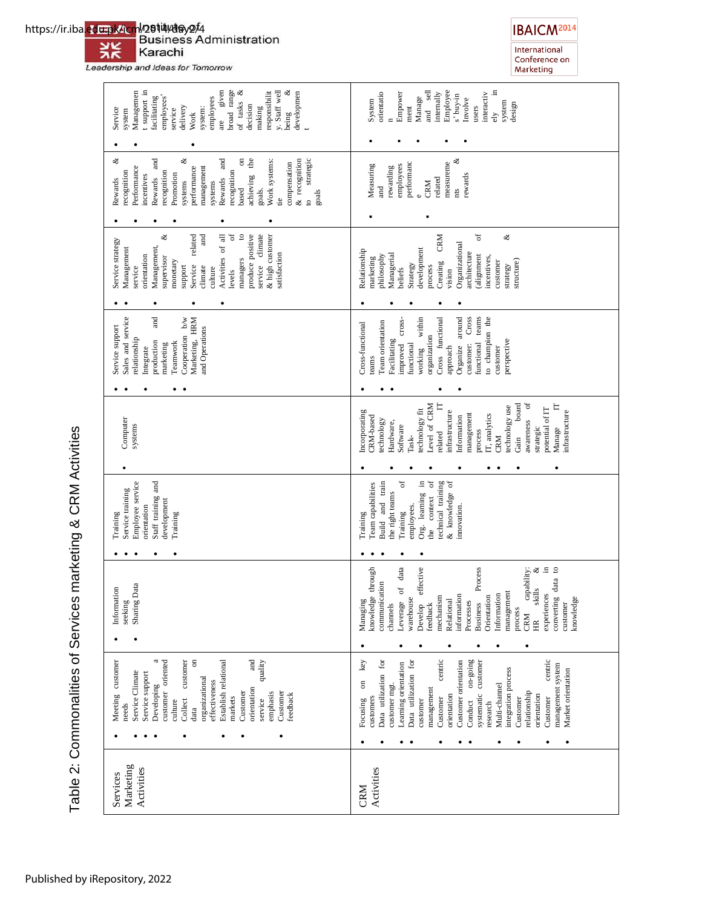### 兴 Karachi

Leadership and Ideas for Tomorrow

| t support in<br>are given<br>broad range<br>ಳ<br>y. Staff well<br>ಳ<br>Managemen<br>responsibilit<br>developmen<br>employees'<br>facilitating<br>employees<br>of tasks<br>decision<br>delivery<br>making<br>system:<br>Service<br>service<br>system<br>being<br>Work                                                                                      | Employee<br>sell<br>$\Xi$<br>internally<br>orientatio<br>Empower<br>interactiv<br>s' buy-in<br>Manage<br>Involve<br>System<br>system<br>design<br>ment<br>users<br>$\overline{a}$<br>ely                                                                                                                                                                                                                                                                                      |
|-----------------------------------------------------------------------------------------------------------------------------------------------------------------------------------------------------------------------------------------------------------------------------------------------------------------------------------------------------------|-------------------------------------------------------------------------------------------------------------------------------------------------------------------------------------------------------------------------------------------------------------------------------------------------------------------------------------------------------------------------------------------------------------------------------------------------------------------------------|
| ళ<br>and<br>and<br>$\overline{5}$<br>the<br>ళ<br>& recognition<br>strategic<br>Work systems:<br>compensation<br>Performance<br>performance<br>management<br>recognition<br>recognition<br>recognition<br>Promotion<br>incentives<br>achieving<br>Rewards<br>Rewards<br>Rewards<br>systems<br>systems<br>goals.<br>based<br>goals<br>tie<br>$\ddot{\circ}$ | ళ<br>measureme<br>performanc<br>Measuring<br>employees<br>rewarding<br>rewards<br>related<br>CRM<br>and<br>nts                                                                                                                                                                                                                                                                                                                                                                |
|                                                                                                                                                                                                                                                                                                                                                           |                                                                                                                                                                                                                                                                                                                                                                                                                                                                               |
| ð<br>$\mathtt{S}$<br>produce positive<br>climate<br>& high customer<br>Activities of all<br>ళ<br>related<br>and<br>Service strategy<br>Management,<br>Management<br>satisfaction<br>orientation<br>managers<br>supervisor<br>monetary<br>service<br>support<br>Service<br>climate<br>service<br>culture<br>levels                                         | ð<br>ళ<br>CRM<br>Organizational<br>development<br>Relationship<br>architecture<br>Managerial<br>alignment<br>philosophy<br>incentives,<br>marketing<br>structure)<br>customer<br>Creating<br>Strategy<br>strategy<br>process<br>beliefs<br>vision                                                                                                                                                                                                                             |
|                                                                                                                                                                                                                                                                                                                                                           |                                                                                                                                                                                                                                                                                                                                                                                                                                                                               |
| Sales and service<br>and<br>Cooperation b/w<br>Marketing, HRM<br>Service support<br>and Operations<br>relationship<br>production<br>Teamwork<br>marketing<br>Integrate                                                                                                                                                                                    | Organize around<br>Cross functional<br>within<br>Cross<br>teams<br>to champion the<br>cross-<br>Team orientation<br>Cross-functional<br>organization<br>Facilitating<br>perspective<br>functional<br>improved<br>functional<br>customer:<br>approach<br>customer<br>working<br>teams                                                                                                                                                                                          |
|                                                                                                                                                                                                                                                                                                                                                           |                                                                                                                                                                                                                                                                                                                                                                                                                                                                               |
| Computer<br>systems                                                                                                                                                                                                                                                                                                                                       | ð<br>Level of CRM<br>board<br>E<br>technology use<br>potential of IT<br>echnology fit<br>infrastructure<br>ncorporating<br>infrastructure<br>management<br>IT, analytics<br>awareness<br>CRM-based<br>Information<br>technology<br>Hardware,<br>Software<br>Manage<br>strategic<br>process<br>related<br>Task-<br><b>CRM</b><br>Gain                                                                                                                                          |
|                                                                                                                                                                                                                                                                                                                                                           |                                                                                                                                                                                                                                                                                                                                                                                                                                                                               |
| Employee service<br>Staff training and<br>Service training<br>development<br>orientation<br>Training<br>Training                                                                                                                                                                                                                                          | ð<br>ð<br>technical training<br>Org. learning in<br>& knowledge of<br>Build and train<br>Team capabilities<br>the right teams<br>context<br>employees.<br>innovation.<br>Training<br>Training<br>the                                                                                                                                                                                                                                                                          |
|                                                                                                                                                                                                                                                                                                                                                           |                                                                                                                                                                                                                                                                                                                                                                                                                                                                               |
| Data<br>Information<br>seeking<br>Sharing I                                                                                                                                                                                                                                                                                                               | effective<br>experiences in<br>converting data to<br>knowledge through<br>of data<br>Process<br>capability:<br>ళ<br>communication<br>skills<br>management<br>Information<br>information<br>Orientation<br>mechanism<br>knowledge<br>warehouse<br>Managing<br>Relational<br>Processes<br><b>Business</b><br>customer<br>Leverage<br>feedback<br>channels<br>Develop<br>process<br><b>CRM</b><br>$\widetilde{E}$                                                                |
| $\overline{a}$<br>ದ<br>customer oriented<br>customer<br>and<br>quality<br>Meeting customer<br>Establish relational<br>Service Climate<br>Service support<br>organizational<br>effectiveness<br>Developing<br>orientation<br>Customer<br>Customer<br>emphasis<br>feedback<br>markets<br>Collect<br>service<br>culture<br>needs<br>data                     | centric<br>$on-going$<br>centric<br>key<br>Data utilization for<br>Data utilization for<br>Customer orientation<br>systematic customer<br>Learning orientation<br>management system<br>integration process<br>Market orientation<br>$\overline{\mathrm{m}}$<br>customer mgt.<br>Multi-channel<br>management<br>relationship<br>orientation<br>orientation<br>Customer<br>customers<br>Customer<br>Customer<br>Focusing<br>customer<br>Conduct<br>research<br>٠<br>٠<br>٠<br>٠ |
|                                                                                                                                                                                                                                                                                                                                                           |                                                                                                                                                                                                                                                                                                                                                                                                                                                                               |
| Marketing<br>Activities<br>Services                                                                                                                                                                                                                                                                                                                       | Activities<br>CRM                                                                                                                                                                                                                                                                                                                                                                                                                                                             |

Table 2: Commonalities of Services marketing & CRM Activities Table 2: Commonalities of Services marketing & CRM Activities



International<br>Conference on<br>Marketing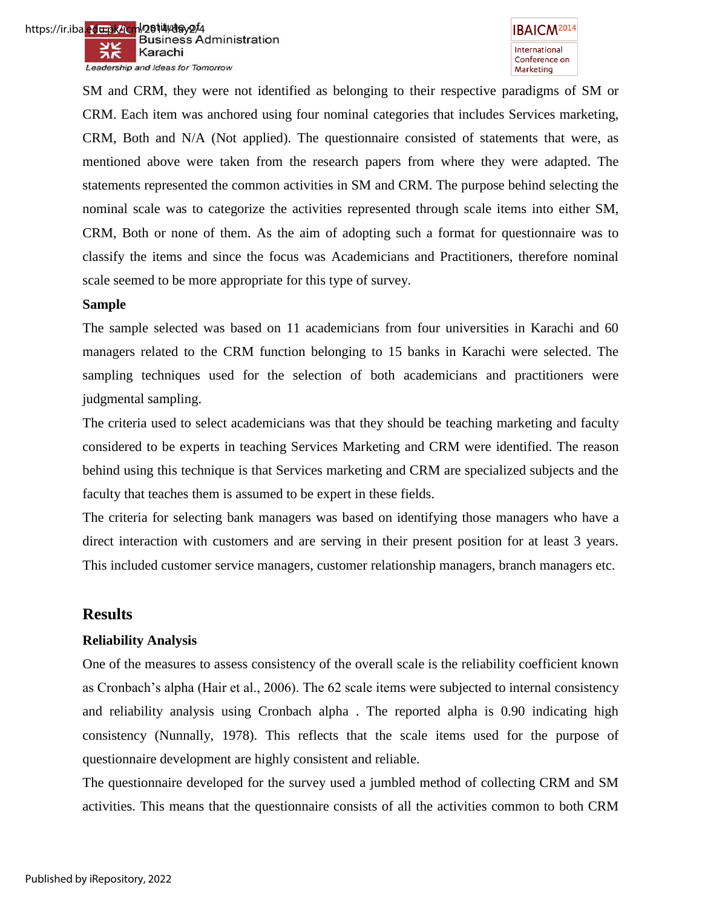

SM and CRM, they were not identified as belonging to their respective paradigms of SM or CRM. Each item was anchored using four nominal categories that includes Services marketing, CRM, Both and N/A (Not applied). The questionnaire consisted of statements that were, as mentioned above were taken from the research papers from where they were adapted. The statements represented the common activities in SM and CRM. The purpose behind selecting the nominal scale was to categorize the activities represented through scale items into either SM, CRM, Both or none of them. As the aim of adopting such a format for questionnaire was to classify the items and since the focus was Academicians and Practitioners, therefore nominal scale seemed to be more appropriate for this type of survey.

### **Sample**

The sample selected was based on 11 academicians from four universities in Karachi and 60 managers related to the CRM function belonging to 15 banks in Karachi were selected. The sampling techniques used for the selection of both academicians and practitioners were judgmental sampling.

The criteria used to select academicians was that they should be teaching marketing and faculty considered to be experts in teaching Services Marketing and CRM were identified. The reason behind using this technique is that Services marketing and CRM are specialized subjects and the faculty that teaches them is assumed to be expert in these fields.

The criteria for selecting bank managers was based on identifying those managers who have a direct interaction with customers and are serving in their present position for at least 3 years. This included customer service managers, customer relationship managers, branch managers etc.

# **Results**

### **Reliability Analysis**

One of the measures to assess consistency of the overall scale is the reliability coefficient known as Cronbach"s alpha (Hair et al., 2006). The 62 scale items were subjected to internal consistency and reliability analysis using Cronbach alpha . The reported alpha is 0.90 indicating high consistency (Nunnally, 1978). This reflects that the scale items used for the purpose of questionnaire development are highly consistent and reliable.

The questionnaire developed for the survey used a jumbled method of collecting CRM and SM activities. This means that the questionnaire consists of all the activities common to both CRM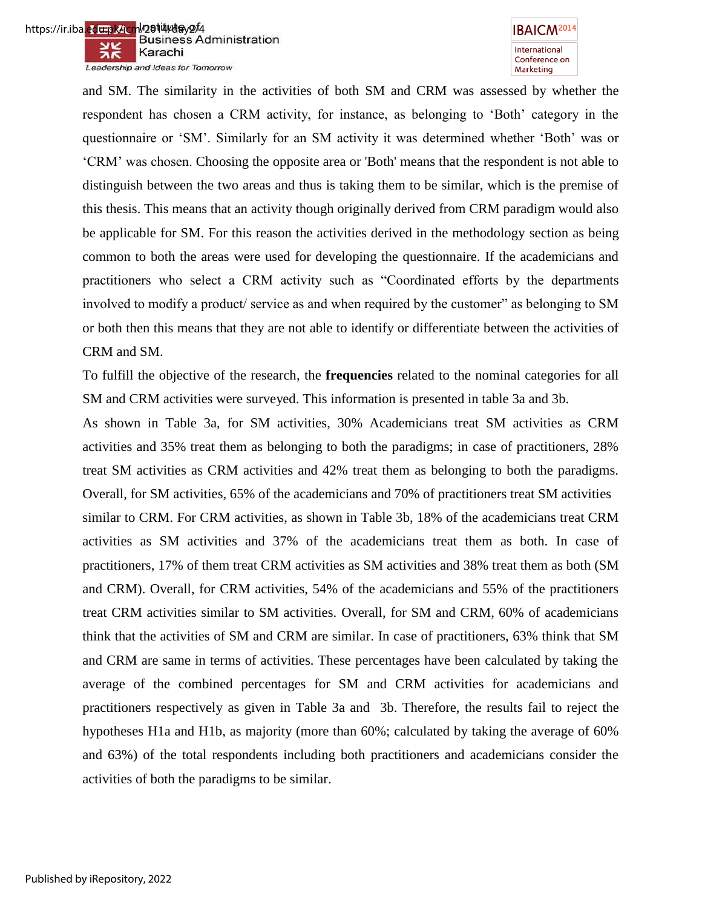



and SM. The similarity in the activities of both SM and CRM was assessed by whether the respondent has chosen a CRM activity, for instance, as belonging to "Both" category in the questionnaire or "SM". Similarly for an SM activity it was determined whether "Both" was or "CRM" was chosen. Choosing the opposite area or 'Both' means that the respondent is not able to distinguish between the two areas and thus is taking them to be similar, which is the premise of this thesis. This means that an activity though originally derived from CRM paradigm would also be applicable for SM. For this reason the activities derived in the methodology section as being common to both the areas were used for developing the questionnaire. If the academicians and practitioners who select a CRM activity such as "Coordinated efforts by the departments involved to modify a product/ service as and when required by the customer" as belonging to SM or both then this means that they are not able to identify or differentiate between the activities of CRM and SM.

To fulfill the objective of the research, the **frequencies** related to the nominal categories for all SM and CRM activities were surveyed. This information is presented in table 3a and 3b.

As shown in Table 3a, for SM activities, 30% Academicians treat SM activities as CRM activities and 35% treat them as belonging to both the paradigms; in case of practitioners, 28% treat SM activities as CRM activities and 42% treat them as belonging to both the paradigms. Overall, for SM activities, 65% of the academicians and 70% of practitioners treat SM activities similar to CRM. For CRM activities, as shown in Table 3b, 18% of the academicians treat CRM activities as SM activities and 37% of the academicians treat them as both. In case of practitioners, 17% of them treat CRM activities as SM activities and 38% treat them as both (SM and CRM). Overall, for CRM activities, 54% of the academicians and 55% of the practitioners treat CRM activities similar to SM activities. Overall, for SM and CRM, 60% of academicians think that the activities of SM and CRM are similar. In case of practitioners, 63% think that SM and CRM are same in terms of activities. These percentages have been calculated by taking the average of the combined percentages for SM and CRM activities for academicians and practitioners respectively as given in Table 3a and 3b. Therefore, the results fail to reject the hypotheses H1a and H1b, as majority (more than 60%; calculated by taking the average of 60% and 63%) of the total respondents including both practitioners and academicians consider the activities of both the paradigms to be similar.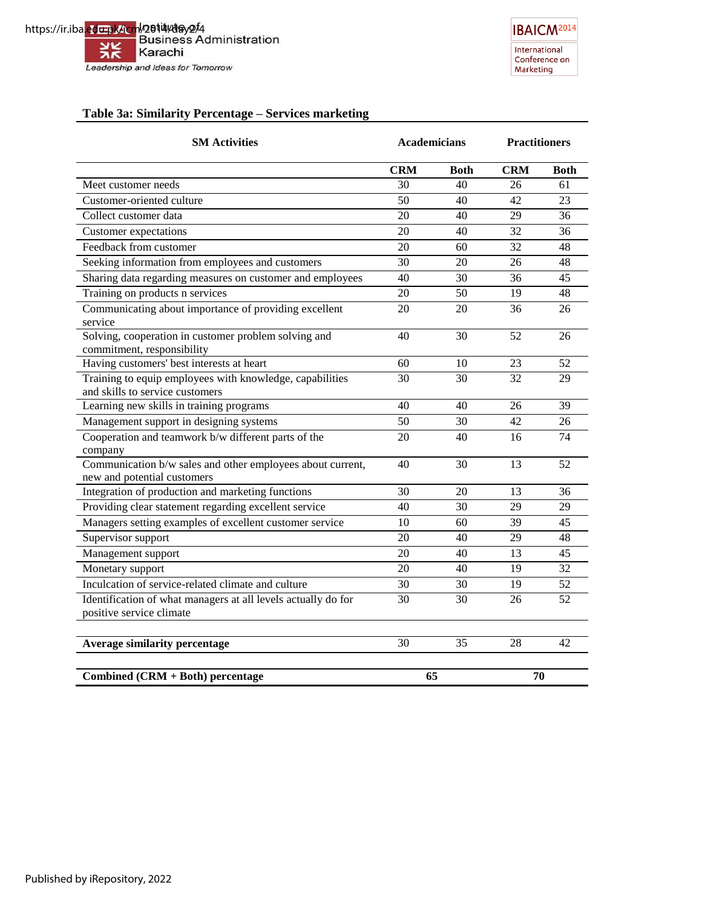https://ir.iba.edu.pk/icm/2014/day2/4<br>Business Administration ※ Karachi Leadership and Ideas for Tomorrow



### **Table 3a: Similarity Percentage – Services marketing**

| <b>SM Activities</b>                                                                        | <b>Academicians</b> |             | <b>Practitioners</b> |             |
|---------------------------------------------------------------------------------------------|---------------------|-------------|----------------------|-------------|
|                                                                                             | <b>CRM</b>          | <b>Both</b> | <b>CRM</b>           | <b>Both</b> |
| Meet customer needs                                                                         | 30                  | 40          | 26                   | 61          |
| Customer-oriented culture                                                                   | 50                  | 40          | 42                   | 23          |
| Collect customer data                                                                       | 20                  | 40          | 29                   | 36          |
| <b>Customer</b> expectations                                                                | 20                  | 40          | 32                   | 36          |
| Feedback from customer                                                                      | 20                  | 60          | 32                   | 48          |
| Seeking information from employees and customers                                            | 30                  | 20          | 26                   | 48          |
| Sharing data regarding measures on customer and employees                                   | 40                  | 30          | 36                   | 45          |
| Training on products n services                                                             | 20                  | 50          | 19                   | 48          |
| Communicating about importance of providing excellent<br>service                            | 20                  | 20          | 36                   | 26          |
| Solving, cooperation in customer problem solving and<br>commitment, responsibility          | 40                  | 30          | 52                   | 26          |
| Having customers' best interests at heart                                                   | 60                  | 10          | 23                   | 52          |
| Training to equip employees with knowledge, capabilities<br>and skills to service customers | 30                  | 30          | 32                   | 29          |
| Learning new skills in training programs                                                    | 40                  | 40          | 26                   | 39          |
| Management support in designing systems                                                     | 50                  | 30          | 42                   | 26          |
| Cooperation and teamwork b/w different parts of the<br>company                              | 20                  | 40          | 16                   | 74          |
| Communication b/w sales and other employees about current,<br>new and potential customers   | 40                  | 30          | 13                   | 52          |
| Integration of production and marketing functions                                           | 30                  | 20          | 13                   | 36          |
| Providing clear statement regarding excellent service                                       | 40                  | 30          | 29                   | 29          |
| Managers setting examples of excellent customer service                                     | 10                  | 60          | 39                   | 45          |
| Supervisor support                                                                          | 20                  | 40          | 29                   | 48          |
| Management support                                                                          | 20                  | 40          | 13                   | 45          |
| Monetary support                                                                            | 20                  | 40          | 19                   | 32          |
| Inculcation of service-related climate and culture                                          | 30                  | 30          | 19                   | 52          |
| Identification of what managers at all levels actually do for<br>positive service climate   | 30                  | 30          | 26                   | 52          |
| <b>Average similarity percentage</b>                                                        | 30                  | 35          | 28                   | 42          |
| Combined (CRM + Both) percentage                                                            | 65                  |             | 70                   |             |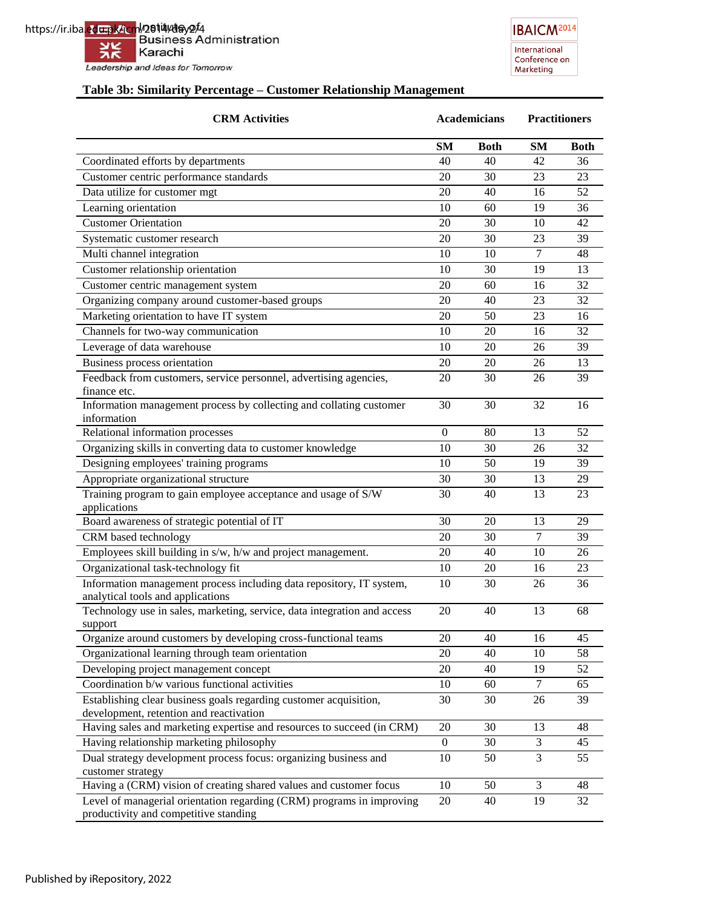**IBAICM<sup>2014</sup>** International<br>Conference on Marketing

# **Table 3b: Similarity Percentage – Customer Relationship Management**

| <b>CRM</b> Activities                                                                                          |                  | <b>Academicians</b> |                | <b>Practitioners</b> |  |
|----------------------------------------------------------------------------------------------------------------|------------------|---------------------|----------------|----------------------|--|
|                                                                                                                | <b>SM</b>        | <b>Both</b>         | <b>SM</b>      | <b>Both</b>          |  |
| Coordinated efforts by departments                                                                             | 40               | 40                  | 42             | 36                   |  |
| Customer centric performance standards                                                                         | 20               | 30                  | 23             | 23                   |  |
| Data utilize for customer mgt                                                                                  | 20               | 40                  | 16             | 52                   |  |
| Learning orientation                                                                                           | 10               | 60                  | 19             | 36                   |  |
| <b>Customer Orientation</b>                                                                                    | 20               | 30                  | 10             | 42                   |  |
| Systematic customer research                                                                                   | 20               | 30                  | 23             | 39                   |  |
| Multi channel integration                                                                                      | 10               | 10                  | $\overline{7}$ | 48                   |  |
| Customer relationship orientation                                                                              | 10               | 30                  | 19             | 13                   |  |
| Customer centric management system                                                                             | 20               | 60                  | 16             | 32                   |  |
| Organizing company around customer-based groups                                                                | 20               | 40                  | 23             | 32                   |  |
| Marketing orientation to have IT system                                                                        | 20               | 50                  | 23             | 16                   |  |
| Channels for two-way communication                                                                             | 10               | 20                  | 16             | 32                   |  |
| Leverage of data warehouse                                                                                     | 10               | 20                  | 26             | 39                   |  |
|                                                                                                                |                  |                     |                |                      |  |
| Business process orientation                                                                                   | 20               | 20                  | 26             | 13                   |  |
| Feedback from customers, service personnel, advertising agencies,<br>finance etc.                              | 20               | 30                  | 26             | 39                   |  |
| Information management process by collecting and collating customer                                            | 30               | 30                  | 32             | 16                   |  |
| information                                                                                                    |                  |                     |                |                      |  |
| Relational information processes                                                                               | $\overline{0}$   | 80                  | 13             | 52                   |  |
| Organizing skills in converting data to customer knowledge                                                     | 10               | 30                  | 26             | 32                   |  |
| Designing employees' training programs                                                                         | 10               | 50                  | 19             | 39                   |  |
| Appropriate organizational structure                                                                           | 30               | 30                  | 13             | 29                   |  |
| Training program to gain employee acceptance and usage of S/W                                                  | 30               | 40                  | 13             | 23                   |  |
| applications                                                                                                   |                  |                     |                |                      |  |
| Board awareness of strategic potential of IT                                                                   | 30               | 20                  | 13             | 29                   |  |
| CRM based technology                                                                                           | 20               | 30                  | $\overline{7}$ | 39                   |  |
| Employees skill building in s/w, h/w and project management.                                                   | 20               | 40                  | 10             | 26                   |  |
| Organizational task-technology fit                                                                             | 10               | 20                  | 16             | 23                   |  |
| Information management process including data repository, IT system,                                           | 10               | 30                  | 26             | 36                   |  |
| analytical tools and applications                                                                              |                  |                     |                |                      |  |
| Technology use in sales, marketing, service, data integration and access                                       | 20               | 40                  | 13             | 68                   |  |
| support                                                                                                        |                  |                     |                |                      |  |
| Organize around customers by developing cross-functional teams                                                 | 20               | 40                  | 16             | 45                   |  |
| Organizational learning through team orientation                                                               | 20               | 40                  | 10             | 58                   |  |
| Developing project management concept                                                                          | 20               | 40                  | 19             | 52                   |  |
| Coordination b/w various functional activities                                                                 | 10               | 60                  | $\tau$         | 65                   |  |
| Establishing clear business goals regarding customer acquisition,                                              | 30               | 30                  | 26             | 39                   |  |
| development, retention and reactivation                                                                        |                  |                     |                |                      |  |
| Having sales and marketing expertise and resources to succeed (in CRM)                                         | 20               | 30                  | 13             | 48                   |  |
| Having relationship marketing philosophy                                                                       | $\boldsymbol{0}$ | 30                  | 3              | 45                   |  |
| Dual strategy development process focus: organizing business and                                               | 10               | 50                  | 3              | 55                   |  |
| customer strategy                                                                                              |                  |                     |                |                      |  |
| Having a (CRM) vision of creating shared values and customer focus                                             | 10               | 50                  | 3              | 48                   |  |
| Level of managerial orientation regarding (CRM) programs in improving<br>productivity and competitive standing | 20               | 40                  | 19             | 32                   |  |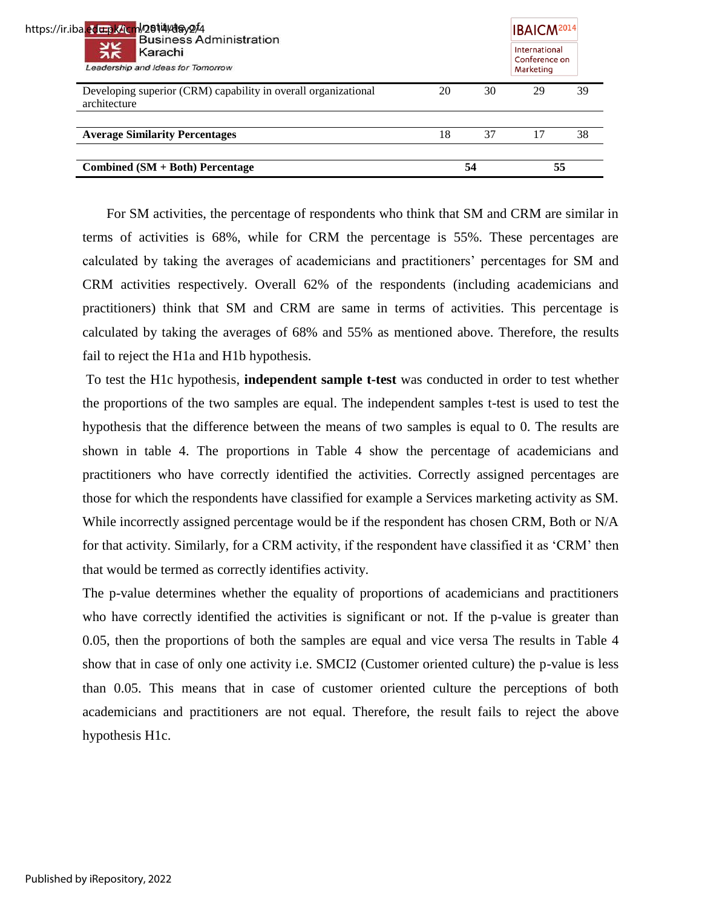| Combined $(SM + Both)$ Percentage                                              |    | 54 | 55                                          |    |
|--------------------------------------------------------------------------------|----|----|---------------------------------------------|----|
| <b>Average Similarity Percentages</b>                                          | 18 | 37 |                                             | 38 |
| Developing superior (CRM) capability in overall organizational<br>architecture | 20 | 30 | 29                                          | 39 |
| <b>Business Administration</b><br>Karachi<br>Leadership and Ideas for Tomorrow |    |    | International<br>Conference on<br>Marketing |    |
| https://ir.iba <mark>.edu.pk/icm</mark> /2014/day2/4                           |    |    | <b>IBAICM<sup>2014</sup></b>                |    |

 For SM activities, the percentage of respondents who think that SM and CRM are similar in terms of activities is 68%, while for CRM the percentage is 55%. These percentages are calculated by taking the averages of academicians and practitioners" percentages for SM and CRM activities respectively. Overall 62% of the respondents (including academicians and practitioners) think that SM and CRM are same in terms of activities. This percentage is calculated by taking the averages of 68% and 55% as mentioned above. Therefore, the results fail to reject the H1a and H1b hypothesis.

To test the H1c hypothesis, **independent sample t-test** was conducted in order to test whether the proportions of the two samples are equal. The independent samples t-test is used to test the hypothesis that the difference between the means of two samples is equal to 0. The results are shown in table 4. The proportions in Table 4 show the percentage of academicians and practitioners who have correctly identified the activities. Correctly assigned percentages are those for which the respondents have classified for example a Services marketing activity as SM. While incorrectly assigned percentage would be if the respondent has chosen CRM, Both or N/A for that activity. Similarly, for a CRM activity, if the respondent have classified it as "CRM" then that would be termed as correctly identifies activity.

The p-value determines whether the equality of proportions of academicians and practitioners who have correctly identified the activities is significant or not. If the p-value is greater than 0.05, then the proportions of both the samples are equal and vice versa The results in Table 4 show that in case of only one activity i.e. SMCI2 (Customer oriented culture) the p-value is less than 0.05. This means that in case of customer oriented culture the perceptions of both academicians and practitioners are not equal. Therefore, the result fails to reject the above hypothesis H1c.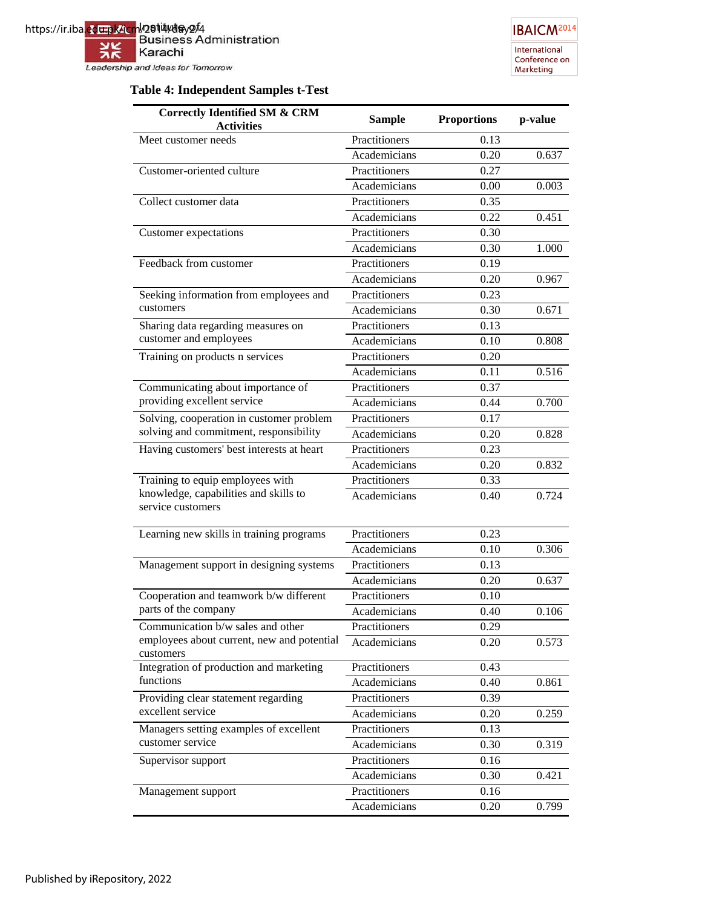

# **IBAICM<sup>2014</sup>** International<br>Conference on Marketing

# **Table 4: Independent Samples t-Test**

| <b>Correctly Identified SM &amp; CRM</b>                   | <b>Sample</b> | <b>Proportions</b> | p-value |
|------------------------------------------------------------|---------------|--------------------|---------|
| <b>Activities</b>                                          |               |                    |         |
| Meet customer needs                                        | Practitioners | 0.13               |         |
|                                                            | Academicians  | 0.20               | 0.637   |
| Customer-oriented culture                                  | Practitioners | 0.27               |         |
|                                                            | Academicians  | 0.00               | 0.003   |
| Collect customer data                                      | Practitioners | 0.35               |         |
|                                                            | Academicians  | 0.22               | 0.451   |
| Customer expectations                                      | Practitioners | 0.30               |         |
|                                                            | Academicians  | 0.30               | 1.000   |
| Feedback from customer                                     | Practitioners | 0.19               |         |
|                                                            | Academicians  | 0.20               | 0.967   |
| Seeking information from employees and                     | Practitioners | 0.23               |         |
| customers                                                  | Academicians  | 0.30               | 0.671   |
| Sharing data regarding measures on                         | Practitioners | 0.13               |         |
| customer and employees                                     | Academicians  | 0.10               | 0.808   |
| Training on products n services                            | Practitioners | 0.20               |         |
|                                                            | Academicians  | 0.11               | 0.516   |
| Communicating about importance of                          | Practitioners | 0.37               |         |
| providing excellent service                                | Academicians  | 0.44               | 0.700   |
| Solving, cooperation in customer problem                   | Practitioners | 0.17               |         |
| solving and commitment, responsibility                     | Academicians  | 0.20               | 0.828   |
| Having customers' best interests at heart                  | Practitioners | 0.23               |         |
|                                                            | Academicians  | 0.20               | 0.832   |
| Training to equip employees with                           | Practitioners | 0.33               |         |
| knowledge, capabilities and skills to<br>service customers | Academicians  | 0.40               | 0.724   |
|                                                            |               |                    |         |
| Learning new skills in training programs                   | Practitioners | 0.23               |         |
|                                                            | Academicians  | 0.10               | 0.306   |
| Management support in designing systems                    | Practitioners | 0.13               |         |
|                                                            | Academicians  | 0.20               | 0.637   |
| Cooperation and teamwork b/w different                     | Practitioners | 0.10               |         |
| parts of the company                                       | Academicians  | 0.40               | 0.106   |
| Communication b/w sales and other                          | Practitioners | 0.29               |         |
| employees about current, new and potential<br>customers    | Academicians  | 0.20               | 0.573   |
| Integration of production and marketing                    | Practitioners | 0.43               |         |
| functions                                                  | Academicians  | 0.40               | 0.861   |
| Providing clear statement regarding                        | Practitioners | 0.39               |         |
| excellent service                                          | Academicians  | 0.20               | 0.259   |
| Managers setting examples of excellent                     | Practitioners | 0.13               |         |
| customer service                                           | Academicians  | 0.30               | 0.319   |
| Supervisor support                                         | Practitioners | 0.16               |         |
|                                                            | Academicians  | 0.30               | 0.421   |
| Management support                                         | Practitioners | 0.16               |         |
|                                                            | Academicians  | 0.20               | 0.799   |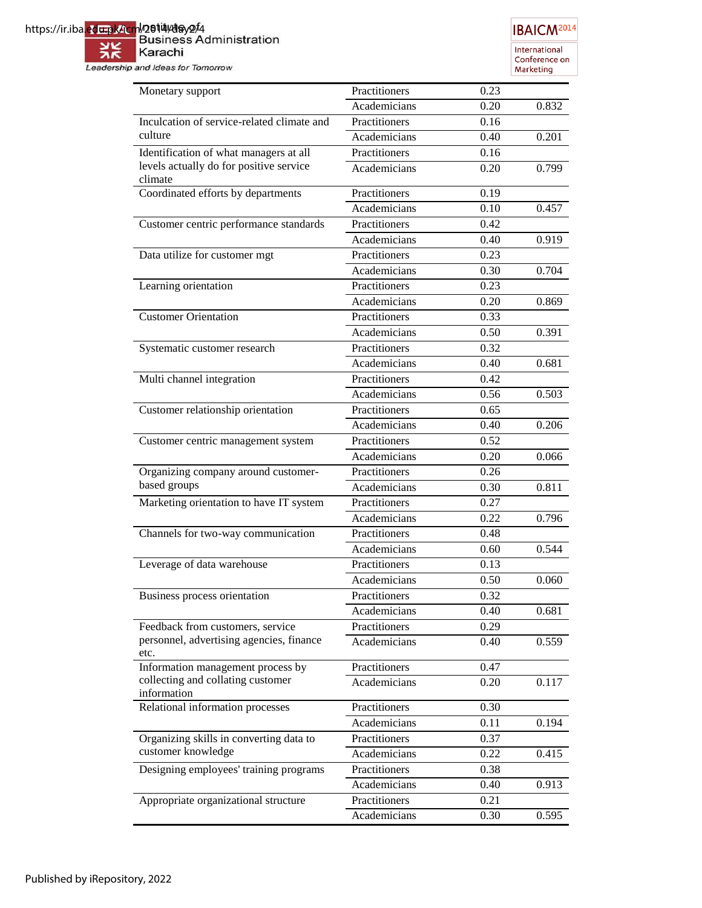# https://ir.iba<mark>.ed<del>u.p</del>k/icm</mark>l/2**614/day2/**4<br>Business Administration

兴 Karachi Leadership and Ideas for Tomorrow

International<br>Conference on<br>Marketing

| Monetary support                                   | Practitioners | 0.23 |       |
|----------------------------------------------------|---------------|------|-------|
|                                                    | Academicians  | 0.20 | 0.832 |
| Inculcation of service-related climate and         | Practitioners | 0.16 |       |
| culture                                            | Academicians  | 0.40 | 0.201 |
| Identification of what managers at all             | Practitioners | 0.16 |       |
| levels actually do for positive service<br>climate | Academicians  | 0.20 | 0.799 |
| Coordinated efforts by departments                 | Practitioners | 0.19 |       |
|                                                    | Academicians  | 0.10 | 0.457 |
| Customer centric performance standards             | Practitioners | 0.42 |       |
|                                                    | Academicians  | 0.40 | 0.919 |
| Data utilize for customer mgt                      | Practitioners | 0.23 |       |
|                                                    | Academicians  | 0.30 | 0.704 |
| Learning orientation                               | Practitioners | 0.23 |       |
|                                                    | Academicians  | 0.20 | 0.869 |
| <b>Customer Orientation</b>                        | Practitioners | 0.33 |       |
|                                                    | Academicians  | 0.50 | 0.391 |
| Systematic customer research                       | Practitioners | 0.32 |       |
|                                                    | Academicians  | 0.40 | 0.681 |
| Multi channel integration                          | Practitioners | 0.42 |       |
|                                                    | Academicians  | 0.56 | 0.503 |
| Customer relationship orientation                  | Practitioners | 0.65 |       |
|                                                    | Academicians  | 0.40 | 0.206 |
| Customer centric management system                 | Practitioners | 0.52 |       |
|                                                    | Academicians  | 0.20 | 0.066 |
| Organizing company around customer-                | Practitioners | 0.26 |       |
| based groups                                       | Academicians  | 0.30 | 0.811 |
| Marketing orientation to have IT system            | Practitioners | 0.27 |       |
|                                                    | Academicians  | 0.22 | 0.796 |
| Channels for two-way communication                 | Practitioners | 0.48 |       |
|                                                    | Academicians  | 0.60 | 0.544 |
| Leverage of data warehouse                         | Practitioners | 0.13 |       |
|                                                    | Academicians  | 0.50 | 0.060 |
| Business process orientation                       | Practitioners | 0.32 |       |
|                                                    | Academicians  | 0.40 | 0.681 |
| Feedback from customers, service                   | Practitioners | 0.29 |       |
| personnel, advertising agencies, finance<br>etc.   | Academicians  | 0.40 | 0.559 |
| Information management process by                  | Practitioners | 0.47 |       |
| collecting and collating customer<br>information   | Academicians  | 0.20 | 0.117 |
| Relational information processes                   | Practitioners | 0.30 |       |
|                                                    | Academicians  | 0.11 | 0.194 |
| Organizing skills in converting data to            | Practitioners | 0.37 |       |
| customer knowledge                                 | Academicians  | 0.22 | 0.415 |
| Designing employees' training programs             | Practitioners | 0.38 |       |
|                                                    | Academicians  | 0.40 | 0.913 |
| Appropriate organizational structure               | Practitioners | 0.21 |       |
|                                                    | Academicians  | 0.30 | 0.595 |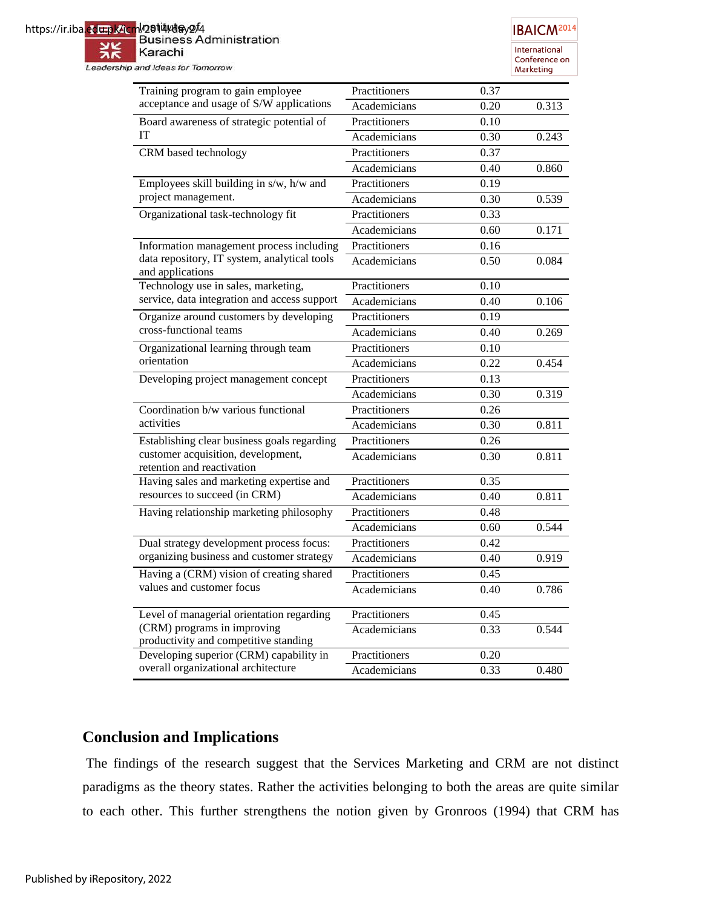| https://ir.iba.edu.pk/icm/2014/day2/4 | <b>Business Administration</b>                                                                                                                                                                                                   |                       | <b>IBAICM<sup>2014</sup></b>                |
|---------------------------------------|----------------------------------------------------------------------------------------------------------------------------------------------------------------------------------------------------------------------------------|-----------------------|---------------------------------------------|
|                                       | Karachi<br>Leadership and Ideas for Tomorrow                                                                                                                                                                                     |                       | International<br>Conference on<br>Marketing |
|                                       | Training program to gain employee                                                                                                                                                                                                | Practitioners<br>0.37 |                                             |
|                                       | acceptance and usage of S/W applications                                                                                                                                                                                         | Academicians<br>0.20  | 0.313                                       |
|                                       | Board awareness of strategic potential of                                                                                                                                                                                        | Practitioners<br>0.10 |                                             |
|                                       | <b>IT</b>                                                                                                                                                                                                                        | Academicians<br>0.30  | 0.243                                       |
|                                       | CRM based technology                                                                                                                                                                                                             | Practitioners<br>0.37 |                                             |
|                                       |                                                                                                                                                                                                                                  | Academicians<br>0.40  | 0.860                                       |
|                                       | Employees skill building in s/w, h/w and                                                                                                                                                                                         | Practitioners<br>0.19 |                                             |
|                                       | project management.                                                                                                                                                                                                              | Academicians<br>0.30  | 0.539                                       |
|                                       | Organizational task-technology fit                                                                                                                                                                                               | Practitioners<br>0.33 |                                             |
|                                       |                                                                                                                                                                                                                                  | Academicians<br>0.60  | 0.171                                       |
|                                       | Information management process including                                                                                                                                                                                         | Practitioners<br>0.16 |                                             |
|                                       | data repository, IT system, analytical tools<br>Academicians<br>0.50<br>and applications<br>Practitioners<br>Technology use in sales, marketing,<br>0.10<br>service, data integration and access support<br>Academicians<br>0.40 |                       | 0.084                                       |
|                                       |                                                                                                                                                                                                                                  |                       |                                             |
|                                       |                                                                                                                                                                                                                                  | 0.106                 |                                             |
|                                       | Organize around customers by developing                                                                                                                                                                                          | Practitioners<br>0.19 |                                             |
|                                       | cross-functional teams<br>Academicians<br>Practitioners<br>Organizational learning through team<br>orientation<br>Academicians<br>Practitioners<br>Developing project management concept<br>Academicians                         | 0.40                  | 0.269                                       |
|                                       |                                                                                                                                                                                                                                  | 0.10                  |                                             |
|                                       |                                                                                                                                                                                                                                  | 0.22                  | 0.454                                       |
|                                       |                                                                                                                                                                                                                                  | 0.13                  |                                             |
|                                       |                                                                                                                                                                                                                                  | 0.30                  | 0.319                                       |
|                                       | Coordination b/w various functional                                                                                                                                                                                              | Practitioners<br>0.26 |                                             |
|                                       | activities                                                                                                                                                                                                                       | Academicians<br>0.30  | 0.811                                       |
|                                       | Establishing clear business goals regarding                                                                                                                                                                                      | Practitioners<br>0.26 |                                             |
|                                       | customer acquisition, development,<br>retention and reactivation                                                                                                                                                                 | Academicians<br>0.30  | 0.811                                       |
|                                       | Having sales and marketing expertise and                                                                                                                                                                                         | Practitioners<br>0.35 |                                             |
|                                       | resources to succeed (in CRM)                                                                                                                                                                                                    | Academicians<br>0.40  | 0.811                                       |
|                                       | Having relationship marketing philosophy                                                                                                                                                                                         | Practitioners<br>0.48 |                                             |
|                                       |                                                                                                                                                                                                                                  | 0.60<br>Academicians  | 0.544                                       |
|                                       | Dual strategy development process focus:                                                                                                                                                                                         | Practitioners<br>0.42 |                                             |
|                                       | organizing business and customer strategy                                                                                                                                                                                        | Academicians<br>0.40  | 0.919                                       |
|                                       | Having a (CRM) vision of creating shared                                                                                                                                                                                         | Practitioners<br>0.45 |                                             |
|                                       | values and customer focus                                                                                                                                                                                                        | Academicians<br>0.40  | 0.786                                       |
|                                       | Level of managerial orientation regarding                                                                                                                                                                                        | Practitioners<br>0.45 |                                             |
|                                       | (CRM) programs in improving<br>productivity and competitive standing                                                                                                                                                             | Academicians<br>0.33  | 0.544                                       |
|                                       | Developing superior (CRM) capability in                                                                                                                                                                                          | Practitioners<br>0.20 |                                             |
|                                       | overall organizational architecture                                                                                                                                                                                              | Academicians<br>0.33  | 0.480                                       |

# **Conclusion and Implications**

The findings of the research suggest that the Services Marketing and CRM are not distinct paradigms as the theory states. Rather the activities belonging to both the areas are quite similar to each other. This further strengthens the notion given by Gronroos (1994) that CRM has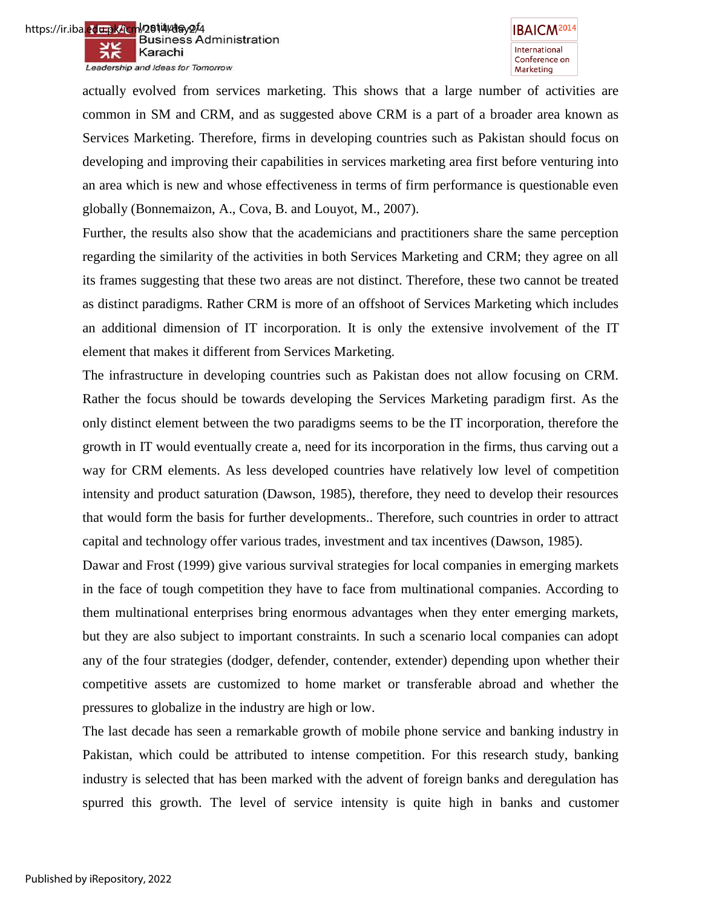



actually evolved from services marketing. This shows that a large number of activities are common in SM and CRM, and as suggested above CRM is a part of a broader area known as Services Marketing. Therefore, firms in developing countries such as Pakistan should focus on developing and improving their capabilities in services marketing area first before venturing into an area which is new and whose effectiveness in terms of firm performance is questionable even globally (Bonnemaizon, A., Cova, B. and Louyot, M., 2007).

Further, the results also show that the academicians and practitioners share the same perception regarding the similarity of the activities in both Services Marketing and CRM; they agree on all its frames suggesting that these two areas are not distinct. Therefore, these two cannot be treated as distinct paradigms. Rather CRM is more of an offshoot of Services Marketing which includes an additional dimension of IT incorporation. It is only the extensive involvement of the IT element that makes it different from Services Marketing.

The infrastructure in developing countries such as Pakistan does not allow focusing on CRM. Rather the focus should be towards developing the Services Marketing paradigm first. As the only distinct element between the two paradigms seems to be the IT incorporation, therefore the growth in IT would eventually create a, need for its incorporation in the firms, thus carving out a way for CRM elements. As less developed countries have relatively low level of competition intensity and product saturation (Dawson, 1985), therefore, they need to develop their resources that would form the basis for further developments.. Therefore, such countries in order to attract capital and technology offer various trades, investment and tax incentives (Dawson, 1985).

Dawar and Frost (1999) give various survival strategies for local companies in emerging markets in the face of tough competition they have to face from multinational companies. According to them multinational enterprises bring enormous advantages when they enter emerging markets, but they are also subject to important constraints. In such a scenario local companies can adopt any of the four strategies (dodger, defender, contender, extender) depending upon whether their competitive assets are customized to home market or transferable abroad and whether the pressures to globalize in the industry are high or low.

The last decade has seen a remarkable growth of mobile phone service and banking industry in Pakistan, which could be attributed to intense competition. For this research study, banking industry is selected that has been marked with the advent of foreign banks and deregulation has spurred this growth. The level of service intensity is quite high in banks and customer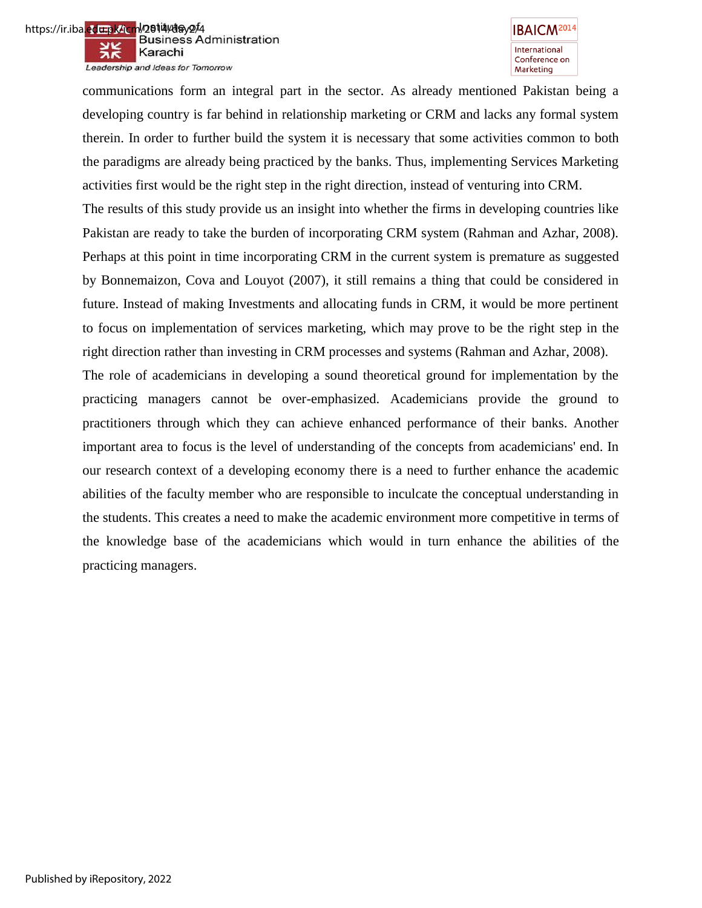

Leadership and Ideas for Tomorrow



communications form an integral part in the sector. As already mentioned Pakistan being a developing country is far behind in relationship marketing or CRM and lacks any formal system therein. In order to further build the system it is necessary that some activities common to both the paradigms are already being practiced by the banks. Thus, implementing Services Marketing activities first would be the right step in the right direction, instead of venturing into CRM.

The results of this study provide us an insight into whether the firms in developing countries like Pakistan are ready to take the burden of incorporating CRM system (Rahman and Azhar, 2008). Perhaps at this point in time incorporating CRM in the current system is premature as suggested by Bonnemaizon, Cova and Louyot (2007), it still remains a thing that could be considered in future. Instead of making Investments and allocating funds in CRM, it would be more pertinent to focus on implementation of services marketing, which may prove to be the right step in the right direction rather than investing in CRM processes and systems (Rahman and Azhar, 2008).

The role of academicians in developing a sound theoretical ground for implementation by the practicing managers cannot be over-emphasized. Academicians provide the ground to practitioners through which they can achieve enhanced performance of their banks. Another important area to focus is the level of understanding of the concepts from academicians' end. In our research context of a developing economy there is a need to further enhance the academic abilities of the faculty member who are responsible to inculcate the conceptual understanding in the students. This creates a need to make the academic environment more competitive in terms of the knowledge base of the academicians which would in turn enhance the abilities of the practicing managers.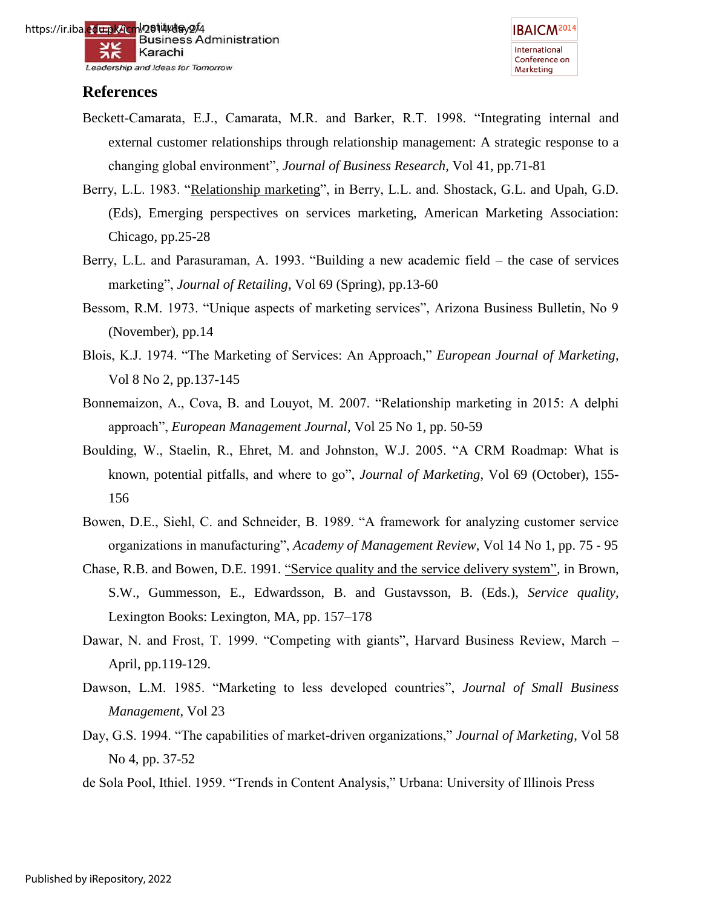https://ir.iba<mark>.ed⊞pk/icm<sup>l/</sup>2614/day2<sup>/</sup>4</mark><br>Business Administration Karachi Leadership and Ideas for Tomorrow



# **References**

- Beckett-Camarata, E.J., Camarata, M.R. and Barker, R.T. 1998. "Integrating internal and external customer relationships through relationship management: A strategic response to a changing global environment", *Journal of Business Research,* Vol 41, pp.71-81
- Berry, L.L. 1983. "Relationship marketing", in Berry, L.L. and. Shostack, G.L. and Upah, G.D. (Eds), Emerging perspectives on services marketing, American Marketing Association: Chicago, pp.25-28
- Berry, L.L. and Parasuraman, A. 1993. "Building a new academic field the case of services marketing", *Journal of Retailing*, Vol 69 (Spring), pp.13-60
- Bessom, R.M. 1973. "Unique aspects of marketing services", Arizona Business Bulletin, No 9 (November), pp.14
- Blois, K.J. 1974. "The Marketing of Services: An Approach," *European Journal of Marketing*, Vol 8 No 2, pp.137-145
- Bonnemaizon, A., Cova, B. and Louyot, M. 2007. "Relationship marketing in 2015: A delphi approach", *European Management Journal*, Vol 25 No 1, pp. 50-59
- Boulding, W., Staelin, R., Ehret, M. and Johnston, W.J. 2005. "A CRM Roadmap: What is known, potential pitfalls, and where to go", *Journal of Marketing*, Vol 69 (October), 155- 156
- Bowen, D.E., Siehl, C. and Schneider, B. 1989. "A framework for analyzing customer service organizations in manufacturing", *Academy of Management Review*, Vol 14 No 1, pp. 75 - 95
- Chase, R.B. and Bowen, D.E. 1991. "Service quality and the service delivery system", in Brown, S.W., Gummesson, E., Edwardsson, B. and Gustavsson, B. (Eds.), *Service quality,* Lexington Books: Lexington, MA, pp. 157–178
- Dawar, N. and Frost, T. 1999. "Competing with giants", Harvard Business Review, March April, pp.119-129.
- Dawson, L.M. 1985. "Marketing to less developed countries", *Journal of Small Business Management*, Vol 23
- Day, G.S. 1994. "The capabilities of market-driven organizations," *Journal of Marketing*, Vol 58 No 4, pp. 37-52
- de Sola Pool, Ithiel. 1959. "Trends in Content Analysis," Urbana: University of Illinois Press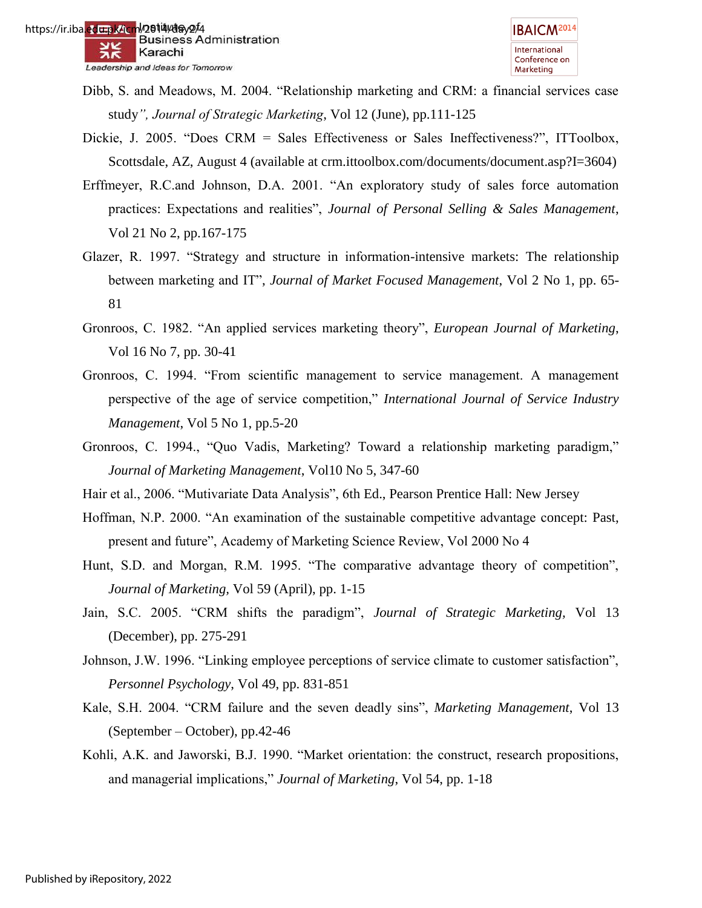- Dibb, S. and Meadows, M. 2004. "Relationship marketing and CRM: a financial services case study*", Journal of Strategic Marketing*, Vol 12 (June), pp.111-125
- Dickie, J. 2005. "Does CRM = Sales Effectiveness or Sales Ineffectiveness?", ITToolbox, Scottsdale, AZ, August 4 (available at crm.ittoolbox.com/documents/document.asp?I=3604)
- Erffmeyer, R.C.and Johnson, D.A. 2001. "An exploratory study of sales force automation practices: Expectations and realities", *Journal of Personal Selling & Sales Management*, Vol 21 No 2, pp.167-175
- Glazer, R. 1997. "Strategy and structure in information-intensive markets: The relationship between marketing and IT", *Journal of Market Focused Management*, Vol 2 No 1, pp. 65- 81
- Gronroos, C. 1982. "An applied services marketing theory", *European Journal of Marketing*, Vol 16 No 7, pp. 30-41
- Gronroos, C. 1994. "From scientific management to service management. A management perspective of the age of service competition," *International Journal of Service Industry Management*, Vol 5 No 1, pp.5-20
- Gronroos, C. 1994., "Quo Vadis, Marketing? Toward a relationship marketing paradigm," *Journal of Marketing Management*, Vol10 No 5, 347-60
- Hair et al., 2006. "Mutivariate Data Analysis", 6th Ed., Pearson Prentice Hall: New Jersey
- Hoffman, N.P. 2000. "An examination of the sustainable competitive advantage concept: Past, present and future", Academy of Marketing Science Review, Vol 2000 No 4
- Hunt, S.D. and Morgan, R.M. 1995. "The comparative advantage theory of competition", *Journal of Marketing,* Vol 59 (April), pp. 1-15
- Jain, S.C. 2005. "CRM shifts the paradigm", *Journal of Strategic Marketing,* Vol 13 (December), pp. 275-291
- Johnson, J.W. 1996. "Linking employee perceptions of service climate to customer satisfaction", *Personnel Psychology*, Vol 49, pp. 831-851
- Kale, S.H. 2004. "CRM failure and the seven deadly sins", *Marketing Management*, Vol 13 (September – October), pp.42-46
- Kohli, A.K. and Jaworski, B.J. 1990. "Market orientation: the construct, research propositions, and managerial implications," *Journal of Marketing*, Vol 54, pp. 1-18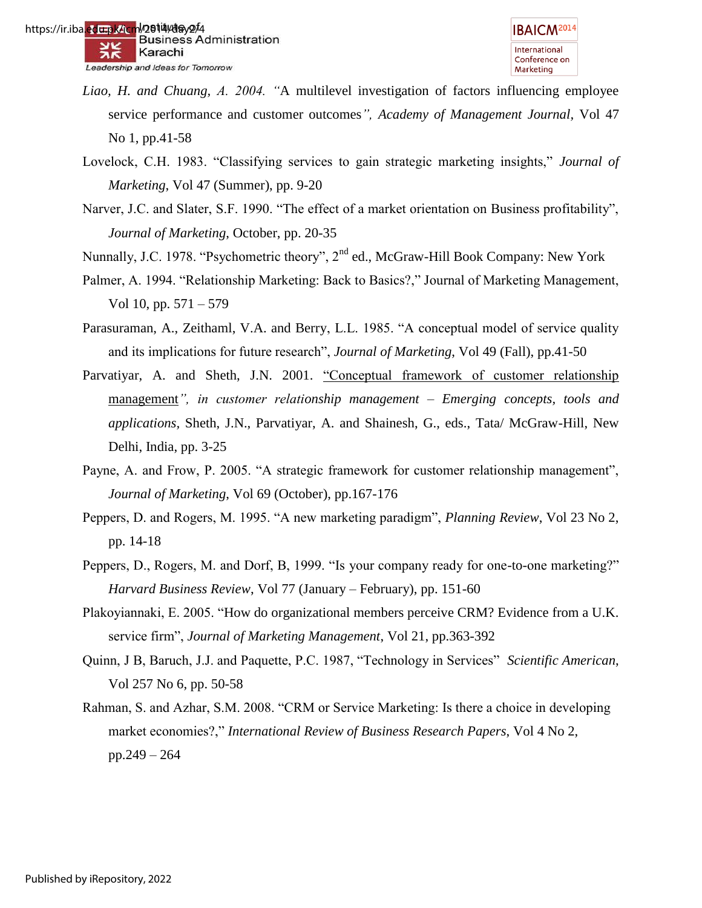- *Liao, H. and Chuang, A. 2004. "*A multilevel investigation of factors influencing employee service performance and customer outcomes*", Academy of Management Journal,* Vol 47 No 1, pp.41-58
- Lovelock, C.H. 1983. "Classifying services to gain strategic marketing insights," *Journal of Marketing*, Vol 47 (Summer), pp. 9-20
- Narver, J.C. and Slater, S.F. 1990. "The effect of a market orientation on Business profitability", *Journal of Marketing*, October, pp. 20-35
- Nunnally, J.C. 1978. "Psychometric theory", 2<sup>nd</sup> ed., McGraw-Hill Book Company: New York
- Palmer, A. 1994. "Relationship Marketing: Back to Basics?," Journal of Marketing Management, Vol 10, pp. 571 – 579
- Parasuraman, A., Zeithaml, V.A. and Berry, L.L. 1985. "A conceptual model of service quality and its implications for future research", *Journal of Marketing*, Vol 49 (Fall), pp.41-50
- Parvatiyar, A. and Sheth, J.N. 2001. "Conceptual framework of customer relationship management*", in customer relationship management – Emerging concepts, tools and applications,* Sheth, J.N., Parvatiyar, A. and Shainesh, G., eds., Tata/ McGraw-Hill, New Delhi, India, pp. 3-25
- Payne, A. and Frow, P. 2005. "A strategic framework for customer relationship management", *Journal of Marketing*, Vol 69 (October), pp.167-176
- Peppers, D. and Rogers, M. 1995. "A new marketing paradigm", *Planning Review*, Vol 23 No 2, pp. 14-18
- Peppers, D., Rogers, M. and Dorf, B, 1999. "Is your company ready for one-to-one marketing?" *Harvard Business Review*, Vol 77 (January – February), pp. 151-60
- Plakoyiannaki, E. 2005. "How do organizational members perceive CRM? Evidence from a U.K. service firm", *Journal of Marketing Management*, Vol 21, pp.363-392
- Quinn, J B, Baruch, J.J. and Paquette, P.C. 1987, "Technology in Services" *Scientific American*, Vol 257 No 6, pp. 50-58
- Rahman, S. and Azhar, S.M. 2008. "CRM or Service Marketing: Is there a choice in developing market economies?," *International Review of Business Research Papers*, Vol 4 No 2, pp.249 – 264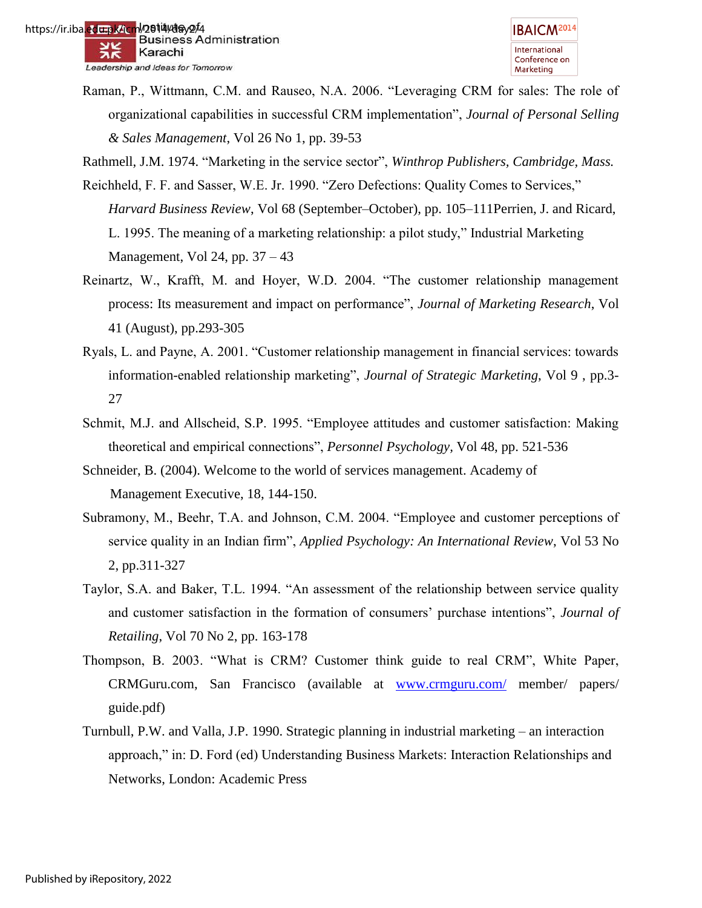Raman, P., Wittmann, C.M. and Rauseo, N.A. 2006. "Leveraging CRM for sales: The role of organizational capabilities in successful CRM implementation", *Journal of Personal Selling & Sales Management*, Vol 26 No 1, pp. 39-53

Rathmell, J.M. 1974. "Marketing in the service sector", *Winthrop Publishers, Cambridge, Mass.* 

- Reichheld, F. F. and Sasser, W.E. Jr. 1990. "Zero Defections: Quality Comes to Services," *Harvard Business Review*, Vol 68 (September–October), pp. 105–111Perrien, J. and Ricard, L. 1995. The meaning of a marketing relationship: a pilot study," Industrial Marketing Management, Vol 24, pp. 37 – 43
- Reinartz, W., Krafft, M. and Hoyer, W.D. 2004. "The customer relationship management process: Its measurement and impact on performance", *Journal of Marketing Research*, Vol 41 (August), pp.293-305
- Ryals, L. and Payne, A. 2001. "Customer relationship management in financial services: towards information-enabled relationship marketing", *Journal of Strategic Marketing*, Vol 9 , pp.3- 27
- Schmit, M.J. and Allscheid, S.P. 1995. "Employee attitudes and customer satisfaction: Making theoretical and empirical connections", *Personnel Psychology,* Vol 48, pp. 521-536
- Schneider, B. (2004). Welcome to the world of services management. Academy of Management Executive, 18, 144-150.
- Subramony, M., Beehr, T.A. and Johnson, C.M. 2004. "Employee and customer perceptions of service quality in an Indian firm", *Applied Psychology: An International Review*, Vol 53 No 2, pp.311-327
- Taylor, S.A. and Baker, T.L. 1994. "An assessment of the relationship between service quality and customer satisfaction in the formation of consumers" purchase intentions", *Journal of Retailing*, Vol 70 No 2, pp. 163-178
- Thompson, B. 2003. "What is CRM? Customer think guide to real CRM", White Paper, CRMGuru.com, San Francisco (available at [www.crmguru.com/](http://www.crmguru.com/) member/ papers/ guide.pdf)
- Turnbull, P.W. and Valla, J.P. 1990. Strategic planning in industrial marketing an interaction approach," in: D. Ford (ed) Understanding Business Markets: Interaction Relationships and Networks, London: Academic Press